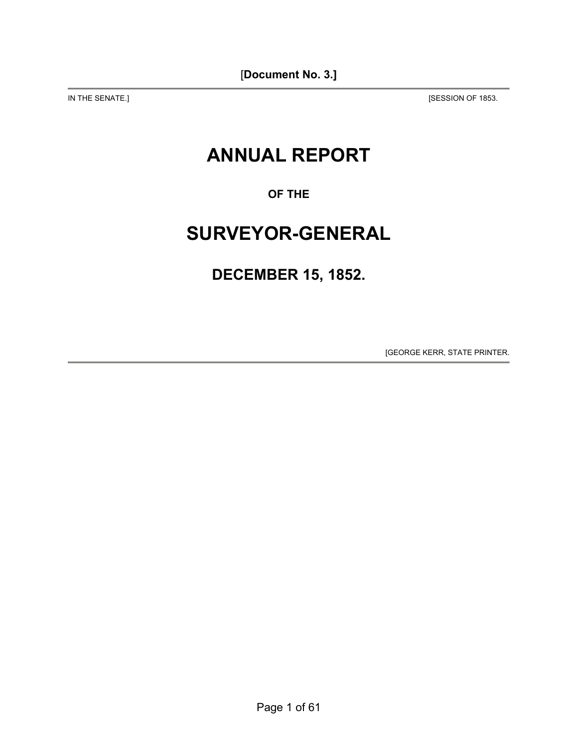IN THE SENATE.] [SESSION OF 1853.

# **ANNUAL REPORT**

**OF THE** 

# **SURVEYOR-GENERAL**

# **DECEMBER 15, 1852.**

[GEORGE KERR, STATE PRINTER.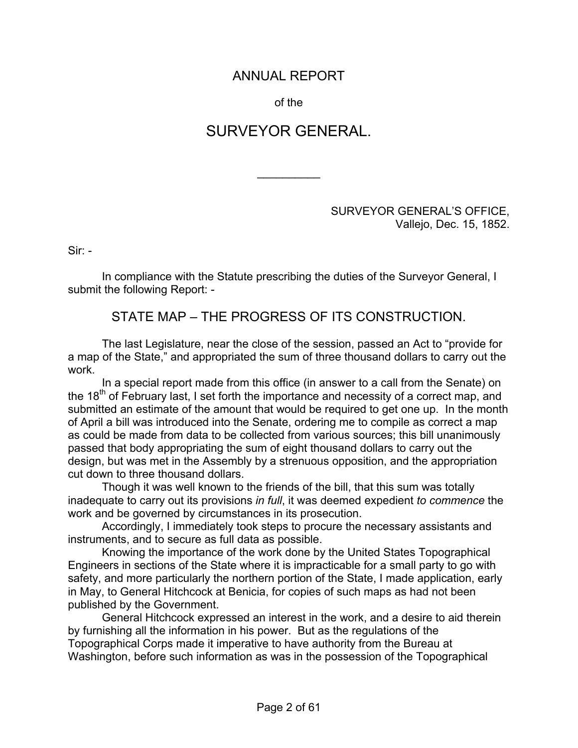## ANNUAL REPORT

of the

# SURVEYOR GENERAL.

 $\frac{1}{2}$ 

#### SURVEYOR GENERAL'S OFFICE, Vallejo, Dec. 15, 1852.

Sir: -

In compliance with the Statute prescribing the duties of the Surveyor General, I submit the following Report: -

## STATE MAP – THE PROGRESS OF ITS CONSTRUCTION.

The last Legislature, near the close of the session, passed an Act to "provide for a map of the State," and appropriated the sum of three thousand dollars to carry out the work.

In a special report made from this office (in answer to a call from the Senate) on the 18<sup>th</sup> of February last, I set forth the importance and necessity of a correct map, and submitted an estimate of the amount that would be required to get one up. In the month of April a bill was introduced into the Senate, ordering me to compile as correct a map as could be made from data to be collected from various sources; this bill unanimously passed that body appropriating the sum of eight thousand dollars to carry out the design, but was met in the Assembly by a strenuous opposition, and the appropriation cut down to three thousand dollars.

Though it was well known to the friends of the bill, that this sum was totally inadequate to carry out its provisions *in full*, it was deemed expedient *to commence* the work and be governed by circumstances in its prosecution.

Accordingly, I immediately took steps to procure the necessary assistants and instruments, and to secure as full data as possible.

Knowing the importance of the work done by the United States Topographical Engineers in sections of the State where it is impracticable for a small party to go with safety, and more particularly the northern portion of the State, I made application, early in May, to General Hitchcock at Benicia, for copies of such maps as had not been published by the Government.

General Hitchcock expressed an interest in the work, and a desire to aid therein by furnishing all the information in his power. But as the regulations of the Topographical Corps made it imperative to have authority from the Bureau at Washington, before such information as was in the possession of the Topographical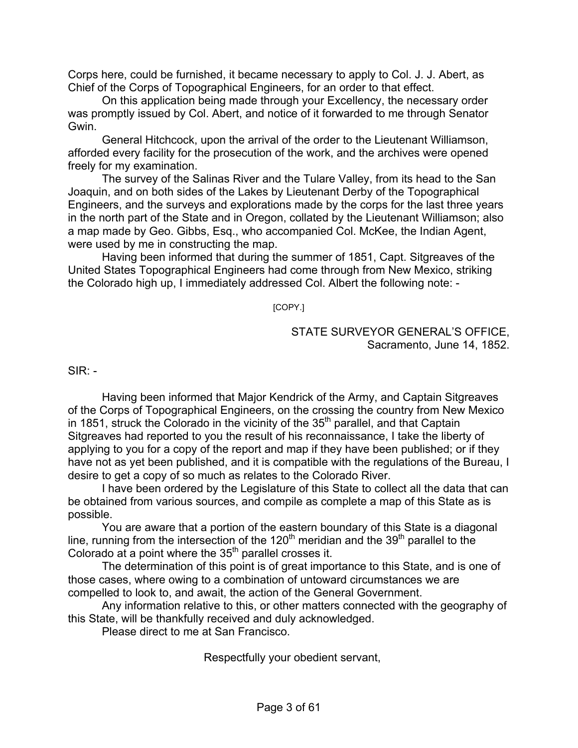Corps here, could be furnished, it became necessary to apply to Col. J. J. Abert, as Chief of the Corps of Topographical Engineers, for an order to that effect.

On this application being made through your Excellency, the necessary order was promptly issued by Col. Abert, and notice of it forwarded to me through Senator Gwin.

General Hitchcock, upon the arrival of the order to the Lieutenant Williamson, afforded every facility for the prosecution of the work, and the archives were opened freely for my examination.

The survey of the Salinas River and the Tulare Valley, from its head to the San Joaquin, and on both sides of the Lakes by Lieutenant Derby of the Topographical Engineers, and the surveys and explorations made by the corps for the last three years in the north part of the State and in Oregon, collated by the Lieutenant Williamson; also a map made by Geo. Gibbs, Esq., who accompanied Col. McKee, the Indian Agent, were used by me in constructing the map.

Having been informed that during the summer of 1851, Capt. Sitgreaves of the United States Topographical Engineers had come through from New Mexico, striking the Colorado high up, I immediately addressed Col. Albert the following note: -

[COPY.]

STATE SURVEYOR GENERAL'S OFFICE, Sacramento, June 14, 1852.

 $SIR -$ 

Having been informed that Major Kendrick of the Army, and Captain Sitgreaves of the Corps of Topographical Engineers, on the crossing the country from New Mexico in 1851, struck the Colorado in the vicinity of the 35<sup>th</sup> parallel, and that Captain Sitgreaves had reported to you the result of his reconnaissance, I take the liberty of applying to you for a copy of the report and map if they have been published; or if they have not as yet been published, and it is compatible with the regulations of the Bureau, I desire to get a copy of so much as relates to the Colorado River.

I have been ordered by the Legislature of this State to collect all the data that can be obtained from various sources, and compile as complete a map of this State as is possible.

You are aware that a portion of the eastern boundary of this State is a diagonal line, running from the intersection of the  $120<sup>th</sup>$  meridian and the  $39<sup>th</sup>$  parallel to the Colorado at a point where the  $35<sup>th</sup>$  parallel crosses it.

The determination of this point is of great importance to this State, and is one of those cases, where owing to a combination of untoward circumstances we are compelled to look to, and await, the action of the General Government.

Any information relative to this, or other matters connected with the geography of this State, will be thankfully received and duly acknowledged.

Please direct to me at San Francisco.

Respectfully your obedient servant,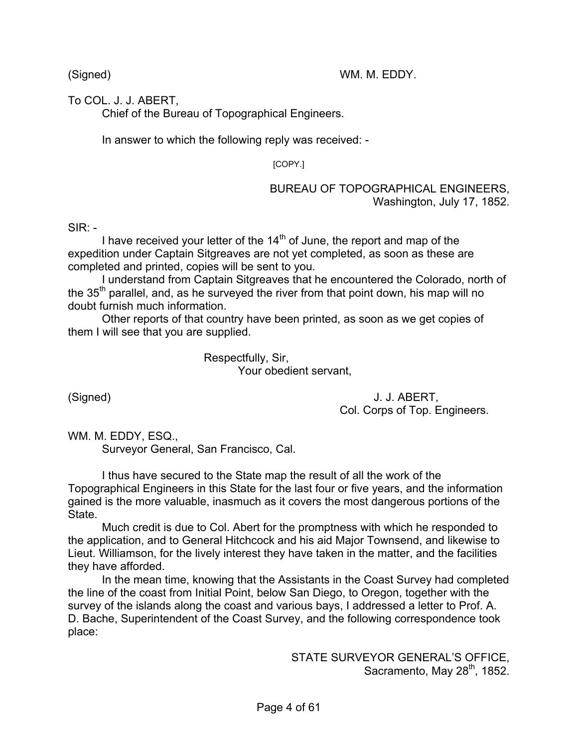(Signed) WM. M. EDDY.

To COL. J. J. ABERT,

Chief of the Bureau of Topographical Engineers.

In answer to which the following reply was received: -

[COPY.]

#### BUREAU OF TOPOGRAPHICAL ENGINEERS, Washington, July 17, 1852.

 $SIR: -$ 

I have received your letter of the  $14<sup>th</sup>$  of June, the report and map of the expedition under Captain Sitgreaves are not yet completed, as soon as these are completed and printed, copies will be sent to you.

I understand from Captain Sitgreaves that he encountered the Colorado, north of the  $35<sup>th</sup>$  parallel, and, as he surveyed the river from that point down, his map will no doubt furnish much information.

Other reports of that country have been printed, as soon as we get copies of them I will see that you are supplied.

> Respectfully, Sir, Your obedient servant,

(Signed) J. J. ABERT, Col. Corps of Top. Engineers.

WM. M. EDDY, ESQ.,

Surveyor General, San Francisco, Cal.

I thus have secured to the State map the result of all the work of the Topographical Engineers in this State for the last four or five years, and the information gained is the more valuable, inasmuch as it covers the most dangerous portions of the State.

Much credit is due to Col. Abert for the promptness with which he responded to the application, and to General Hitchcock and his aid Major Townsend, and likewise to Lieut. Williamson, for the lively interest they have taken in the matter, and the facilities they have afforded.

In the mean time, knowing that the Assistants in the Coast Survey had completed the line of the coast from Initial Point, below San Diego, to Oregon, together with the survey of the islands along the coast and various bays, I addressed a letter to Prof. A. D. Bache, Superintendent of the Coast Survey, and the following correspondence took place:

> STATE SURVEYOR GENERAL'S OFFICE, Sacramento, May  $28<sup>th</sup>$ , 1852.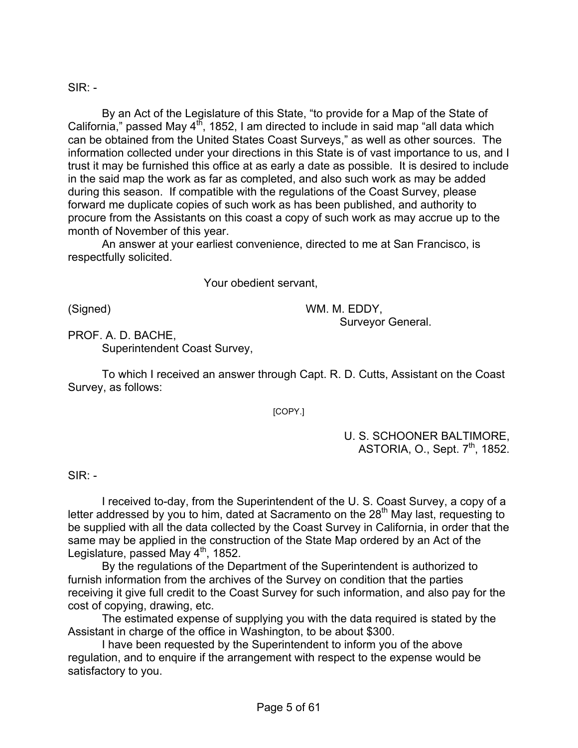## $SIR: -$

By an Act of the Legislature of this State, "to provide for a Map of the State of California," passed May  $4^{16}$ , 1852, I am directed to include in said map "all data which can be obtained from the United States Coast Surveys," as well as other sources. The information collected under your directions in this State is of vast importance to us, and I trust it may be furnished this office at as early a date as possible. It is desired to include in the said map the work as far as completed, and also such work as may be added during this season. If compatible with the regulations of the Coast Survey, please forward me duplicate copies of such work as has been published, and authority to procure from the Assistants on this coast a copy of such work as may accrue up to the month of November of this year.

An answer at your earliest convenience, directed to me at San Francisco, is respectfully solicited.

Your obedient servant,

(Signed) WM. M. EDDY,

Surveyor General.

PROF. A. D. BACHE, Superintendent Coast Survey,

To which I received an answer through Capt. R. D. Cutts, Assistant on the Coast Survey, as follows:

[COPY.]

U. S. SCHOONER BALTIMORE, ASTORIA, O., Sept. 7<sup>th</sup>, 1852.

 $SIR: -$ 

I received to-day, from the Superintendent of the U. S. Coast Survey, a copy of a letter addressed by you to him, dated at Sacramento on the 28<sup>th</sup> May last, requesting to be supplied with all the data collected by the Coast Survey in California, in order that the same may be applied in the construction of the State Map ordered by an Act of the Legislature, passed May  $4<sup>th</sup>$ , 1852.

By the regulations of the Department of the Superintendent is authorized to furnish information from the archives of the Survey on condition that the parties receiving it give full credit to the Coast Survey for such information, and also pay for the cost of copying, drawing, etc.

The estimated expense of supplying you with the data required is stated by the Assistant in charge of the office in Washington, to be about \$300.

I have been requested by the Superintendent to inform you of the above regulation, and to enquire if the arrangement with respect to the expense would be satisfactory to you.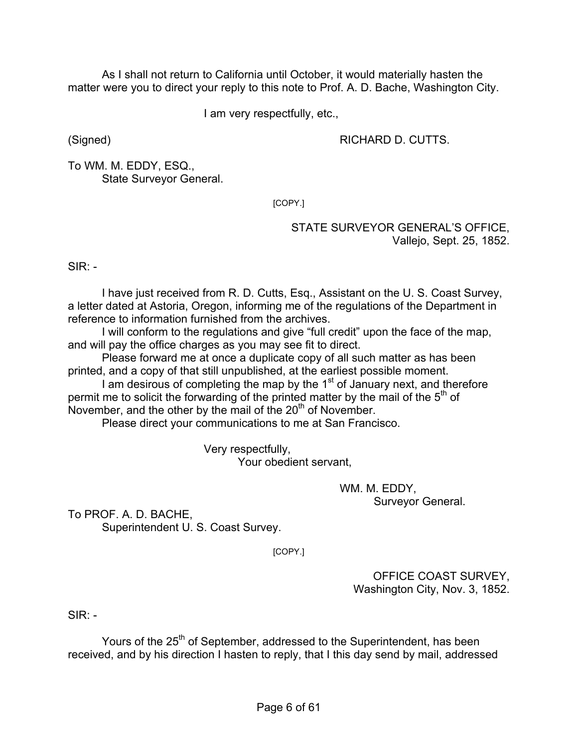As I shall not return to California until October, it would materially hasten the matter were you to direct your reply to this note to Prof. A. D. Bache, Washington City.

I am very respectfully, etc.,

(Signed) RICHARD D. CUTTS.

To WM. M. EDDY, ESQ., State Surveyor General.

[COPY.]

STATE SURVEYOR GENERAL'S OFFICE, Vallejo, Sept. 25, 1852.

 $SIR: -$ 

I have just received from R. D. Cutts, Esq., Assistant on the U. S. Coast Survey, a letter dated at Astoria, Oregon, informing me of the regulations of the Department in reference to information furnished from the archives.

I will conform to the regulations and give "full credit" upon the face of the map, and will pay the office charges as you may see fit to direct.

Please forward me at once a duplicate copy of all such matter as has been printed, and a copy of that still unpublished, at the earliest possible moment.

I am desirous of completing the map by the  $1<sup>st</sup>$  of January next, and therefore permit me to solicit the forwarding of the printed matter by the mail of the  $5<sup>th</sup>$  of November, and the other by the mail of the  $20<sup>th</sup>$  of November.

Please direct your communications to me at San Francisco.

 Very respectfully, Your obedient servant,

> WM. M. EDDY, Surveyor General.

To PROF. A. D. BACHE, Superintendent U. S. Coast Survey.

[COPY.]

OFFICE COAST SURVEY, Washington City, Nov. 3, 1852.

 $SIR -$ 

Yours of the 25<sup>th</sup> of September, addressed to the Superintendent, has been received, and by his direction I hasten to reply, that I this day send by mail, addressed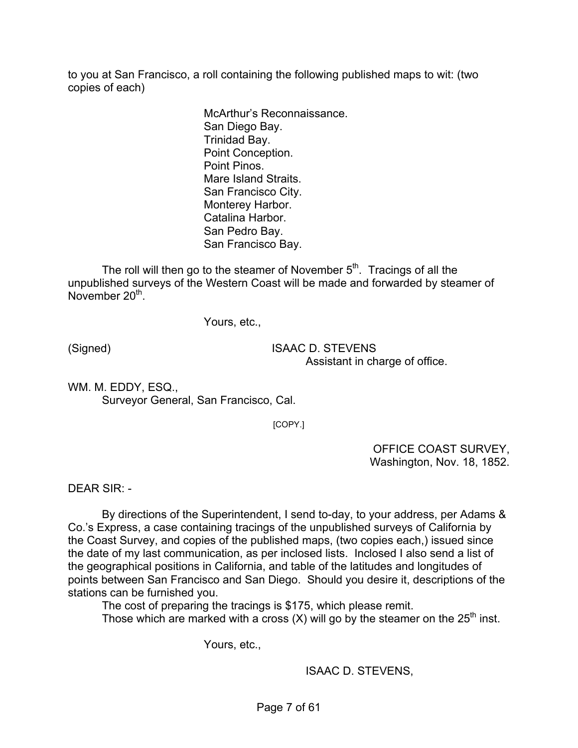to you at San Francisco, a roll containing the following published maps to wit: (two copies of each)

> McArthur's Reconnaissance. San Diego Bay. Trinidad Bay. Point Conception. Point Pinos. Mare Island Straits. San Francisco City. Monterey Harbor. Catalina Harbor. San Pedro Bay. San Francisco Bay.

The roll will then go to the steamer of November  $5<sup>th</sup>$ . Tracings of all the unpublished surveys of the Western Coast will be made and forwarded by steamer of November  $20<sup>th</sup>$ .

Yours, etc.,

(Signed) ISAAC D. STEVENS Assistant in charge of office.

WM. M. EDDY, ESQ., Surveyor General, San Francisco, Cal.

[COPY.]

OFFICE COAST SURVEY, Washington, Nov. 18, 1852.

DEAR SIR: -

By directions of the Superintendent, I send to-day, to your address, per Adams & Co.'s Express, a case containing tracings of the unpublished surveys of California by the Coast Survey, and copies of the published maps, (two copies each,) issued since the date of my last communication, as per inclosed lists. Inclosed I also send a list of the geographical positions in California, and table of the latitudes and longitudes of points between San Francisco and San Diego. Should you desire it, descriptions of the stations can be furnished you.

The cost of preparing the tracings is \$175, which please remit. Those which are marked with a cross  $(X)$  will go by the steamer on the 25<sup>th</sup> inst.

Yours, etc.,

ISAAC D. STEVENS,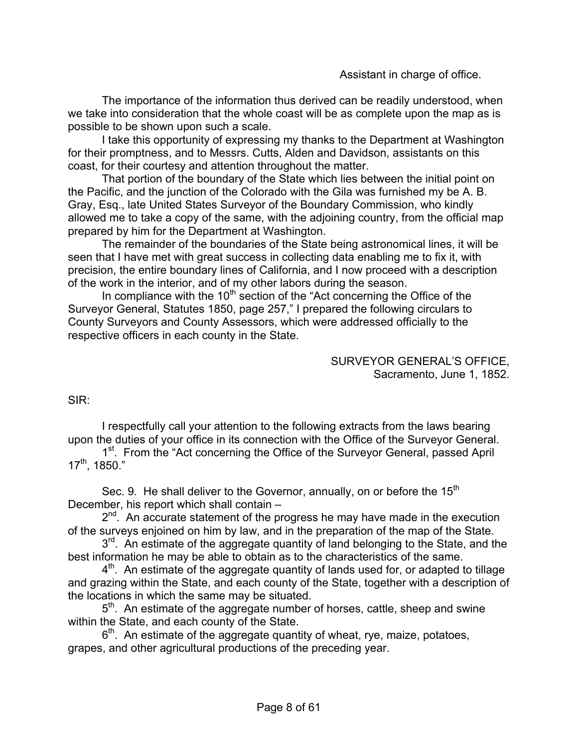Assistant in charge of office.

The importance of the information thus derived can be readily understood, when we take into consideration that the whole coast will be as complete upon the map as is possible to be shown upon such a scale.

I take this opportunity of expressing my thanks to the Department at Washington for their promptness, and to Messrs. Cutts, Alden and Davidson, assistants on this coast, for their courtesy and attention throughout the matter.

That portion of the boundary of the State which lies between the initial point on the Pacific, and the junction of the Colorado with the Gila was furnished my be A. B. Gray, Esq., late United States Surveyor of the Boundary Commission, who kindly allowed me to take a copy of the same, with the adjoining country, from the official map prepared by him for the Department at Washington.

The remainder of the boundaries of the State being astronomical lines, it will be seen that I have met with great success in collecting data enabling me to fix it, with precision, the entire boundary lines of California, and I now proceed with a description of the work in the interior, and of my other labors during the season.

In compliance with the  $10<sup>th</sup>$  section of the "Act concerning the Office of the Surveyor General, Statutes 1850, page 257," I prepared the following circulars to County Surveyors and County Assessors, which were addressed officially to the respective officers in each county in the State.

> SURVEYOR GENERAL'S OFFICE, Sacramento, June 1, 1852.

SIR:

I respectfully call your attention to the following extracts from the laws bearing upon the duties of your office in its connection with the Office of the Surveyor General.

1<sup>st</sup>. From the "Act concerning the Office of the Surveyor General, passed April 17th, 1850."

Sec. 9. He shall deliver to the Governor, annually, on or before the 15<sup>th</sup> December, his report which shall contain –

 $2^{nd}$ . An accurate statement of the progress he may have made in the execution of the surveys enjoined on him by law, and in the preparation of the map of the State.

3<sup>rd</sup>. An estimate of the aggregate quantity of land belonging to the State, and the best information he may be able to obtain as to the characteristics of the same.

 $4<sup>th</sup>$ . An estimate of the aggregate quantity of lands used for, or adapted to tillage and grazing within the State, and each county of the State, together with a description of the locations in which the same may be situated.

5<sup>th</sup>. An estimate of the aggregate number of horses, cattle, sheep and swine within the State, and each county of the State.

 $6<sup>th</sup>$ . An estimate of the aggregate quantity of wheat, rye, maize, potatoes, grapes, and other agricultural productions of the preceding year.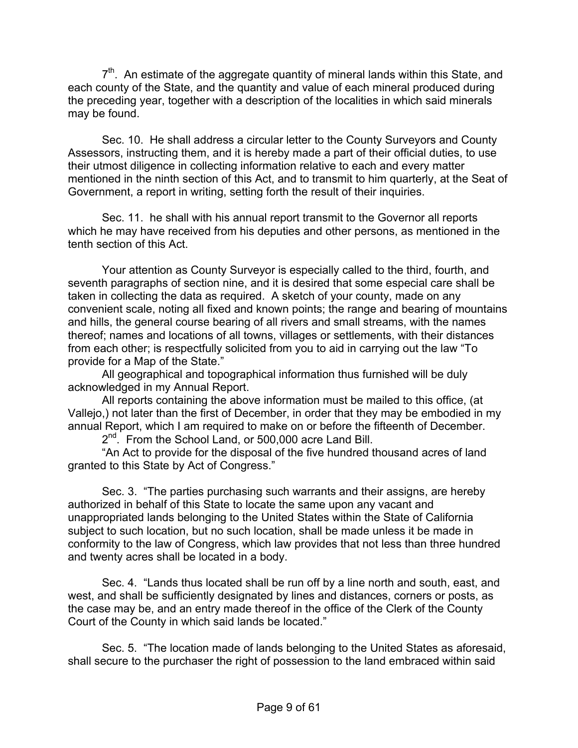$7<sup>th</sup>$ . An estimate of the aggregate quantity of mineral lands within this State, and each county of the State, and the quantity and value of each mineral produced during the preceding year, together with a description of the localities in which said minerals may be found.

Sec. 10. He shall address a circular letter to the County Surveyors and County Assessors, instructing them, and it is hereby made a part of their official duties, to use their utmost diligence in collecting information relative to each and every matter mentioned in the ninth section of this Act, and to transmit to him quarterly, at the Seat of Government, a report in writing, setting forth the result of their inquiries.

Sec. 11. he shall with his annual report transmit to the Governor all reports which he may have received from his deputies and other persons, as mentioned in the tenth section of this Act.

Your attention as County Surveyor is especially called to the third, fourth, and seventh paragraphs of section nine, and it is desired that some especial care shall be taken in collecting the data as required. A sketch of your county, made on any convenient scale, noting all fixed and known points; the range and bearing of mountains and hills, the general course bearing of all rivers and small streams, with the names thereof; names and locations of all towns, villages or settlements, with their distances from each other; is respectfully solicited from you to aid in carrying out the law "To provide for a Map of the State."

All geographical and topographical information thus furnished will be duly acknowledged in my Annual Report.

All reports containing the above information must be mailed to this office, (at Vallejo,) not later than the first of December, in order that they may be embodied in my annual Report, which I am required to make on or before the fifteenth of December.

 $2^{nd}$ . From the School Land, or 500,000 acre Land Bill.

"An Act to provide for the disposal of the five hundred thousand acres of land granted to this State by Act of Congress."

Sec. 3. "The parties purchasing such warrants and their assigns, are hereby authorized in behalf of this State to locate the same upon any vacant and unappropriated lands belonging to the United States within the State of California subject to such location, but no such location, shall be made unless it be made in conformity to the law of Congress, which law provides that not less than three hundred and twenty acres shall be located in a body.

Sec. 4. "Lands thus located shall be run off by a line north and south, east, and west, and shall be sufficiently designated by lines and distances, corners or posts, as the case may be, and an entry made thereof in the office of the Clerk of the County Court of the County in which said lands be located."

Sec. 5. "The location made of lands belonging to the United States as aforesaid, shall secure to the purchaser the right of possession to the land embraced within said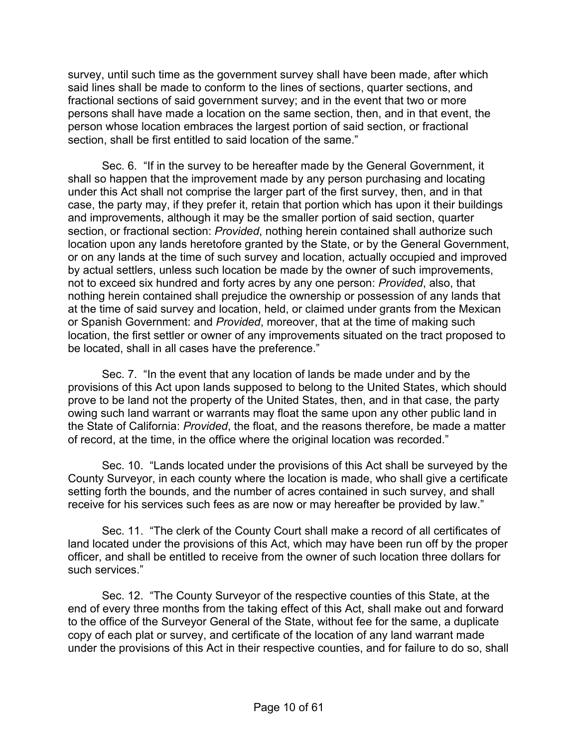survey, until such time as the government survey shall have been made, after which said lines shall be made to conform to the lines of sections, quarter sections, and fractional sections of said government survey; and in the event that two or more persons shall have made a location on the same section, then, and in that event, the person whose location embraces the largest portion of said section, or fractional section, shall be first entitled to said location of the same."

Sec. 6. "If in the survey to be hereafter made by the General Government, it shall so happen that the improvement made by any person purchasing and locating under this Act shall not comprise the larger part of the first survey, then, and in that case, the party may, if they prefer it, retain that portion which has upon it their buildings and improvements, although it may be the smaller portion of said section, quarter section, or fractional section: *Provided*, nothing herein contained shall authorize such location upon any lands heretofore granted by the State, or by the General Government, or on any lands at the time of such survey and location, actually occupied and improved by actual settlers, unless such location be made by the owner of such improvements, not to exceed six hundred and forty acres by any one person: *Provided*, also, that nothing herein contained shall prejudice the ownership or possession of any lands that at the time of said survey and location, held, or claimed under grants from the Mexican or Spanish Government: and *Provided*, moreover, that at the time of making such location, the first settler or owner of any improvements situated on the tract proposed to be located, shall in all cases have the preference."

Sec. 7. "In the event that any location of lands be made under and by the provisions of this Act upon lands supposed to belong to the United States, which should prove to be land not the property of the United States, then, and in that case, the party owing such land warrant or warrants may float the same upon any other public land in the State of California: *Provided*, the float, and the reasons therefore, be made a matter of record, at the time, in the office where the original location was recorded."

Sec. 10. "Lands located under the provisions of this Act shall be surveyed by the County Surveyor, in each county where the location is made, who shall give a certificate setting forth the bounds, and the number of acres contained in such survey, and shall receive for his services such fees as are now or may hereafter be provided by law."

Sec. 11. "The clerk of the County Court shall make a record of all certificates of land located under the provisions of this Act, which may have been run off by the proper officer, and shall be entitled to receive from the owner of such location three dollars for such services."

Sec. 12. "The County Surveyor of the respective counties of this State, at the end of every three months from the taking effect of this Act, shall make out and forward to the office of the Surveyor General of the State, without fee for the same, a duplicate copy of each plat or survey, and certificate of the location of any land warrant made under the provisions of this Act in their respective counties, and for failure to do so, shall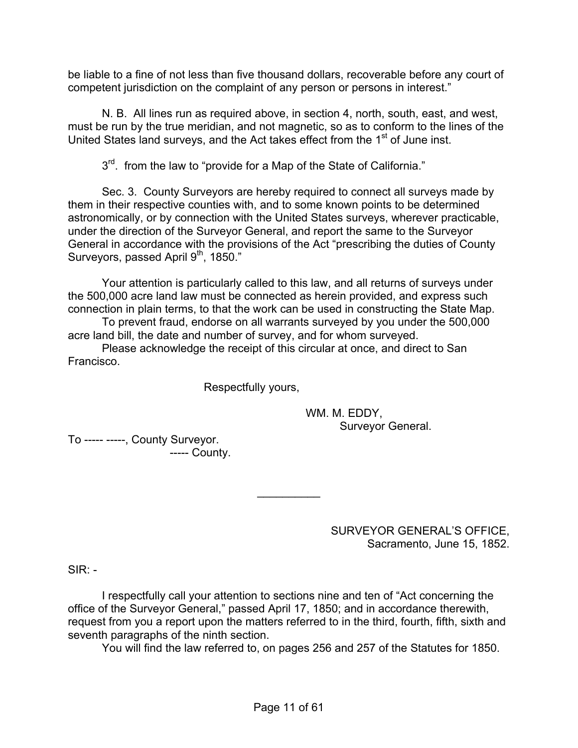be liable to a fine of not less than five thousand dollars, recoverable before any court of competent jurisdiction on the complaint of any person or persons in interest."

N. B. All lines run as required above, in section 4, north, south, east, and west, must be run by the true meridian, and not magnetic, so as to conform to the lines of the United States land surveys, and the Act takes effect from the 1<sup>st</sup> of June inst.

3<sup>rd</sup>. from the law to "provide for a Map of the State of California."

Sec. 3. County Surveyors are hereby required to connect all surveys made by them in their respective counties with, and to some known points to be determined astronomically, or by connection with the United States surveys, wherever practicable, under the direction of the Surveyor General, and report the same to the Surveyor General in accordance with the provisions of the Act "prescribing the duties of County Surveyors, passed April 9<sup>th</sup>, 1850."

Your attention is particularly called to this law, and all returns of surveys under the 500,000 acre land law must be connected as herein provided, and express such connection in plain terms, to that the work can be used in constructing the State Map.

To prevent fraud, endorse on all warrants surveyed by you under the 500,000 acre land bill, the date and number of survey, and for whom surveyed.

Please acknowledge the receipt of this circular at once, and direct to San Francisco.

Respectfully yours,

 WM. M. EDDY, Surveyor General.

To ----- -----, County Surveyor. ----- County.

> SURVEYOR GENERAL'S OFFICE, Sacramento, June 15, 1852.

 $SIR: -$ 

I respectfully call your attention to sections nine and ten of "Act concerning the office of the Surveyor General," passed April 17, 1850; and in accordance therewith, request from you a report upon the matters referred to in the third, fourth, fifth, sixth and seventh paragraphs of the ninth section.

 $\frac{1}{2}$ 

You will find the law referred to, on pages 256 and 257 of the Statutes for 1850.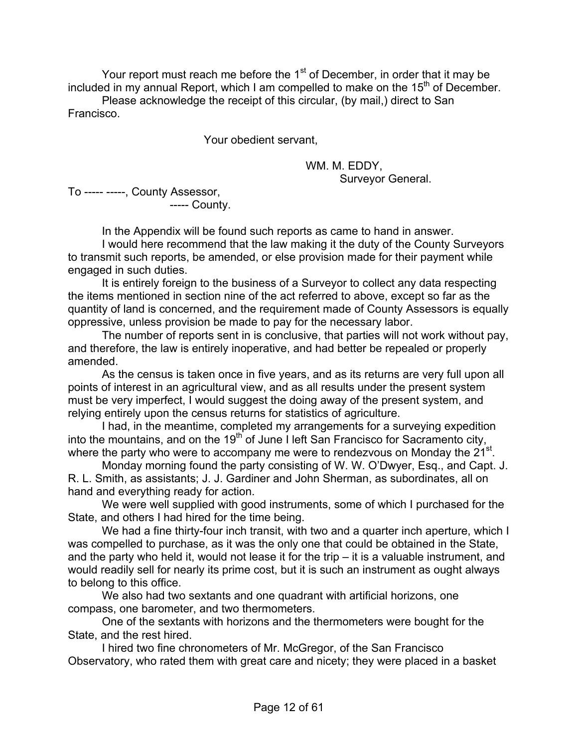Your report must reach me before the  $1<sup>st</sup>$  of December, in order that it may be included in my annual Report, which I am compelled to make on the 15<sup>th</sup> of December.

Please acknowledge the receipt of this circular, (by mail,) direct to San Francisco.

Your obedient servant,

 WM. M. EDDY, Surveyor General.

To ----- -----, County Assessor,

----- County.

In the Appendix will be found such reports as came to hand in answer. I would here recommend that the law making it the duty of the County Surveyors to transmit such reports, be amended, or else provision made for their payment while engaged in such duties.

It is entirely foreign to the business of a Surveyor to collect any data respecting the items mentioned in section nine of the act referred to above, except so far as the quantity of land is concerned, and the requirement made of County Assessors is equally oppressive, unless provision be made to pay for the necessary labor.

The number of reports sent in is conclusive, that parties will not work without pay, and therefore, the law is entirely inoperative, and had better be repealed or properly amended.

As the census is taken once in five years, and as its returns are very full upon all points of interest in an agricultural view, and as all results under the present system must be very imperfect, I would suggest the doing away of the present system, and relying entirely upon the census returns for statistics of agriculture.

I had, in the meantime, completed my arrangements for a surveying expedition into the mountains, and on the  $19<sup>th</sup>$  of June I left San Francisco for Sacramento city, where the party who were to accompany me were to rendezvous on Monday the 21<sup>st</sup>.

Monday morning found the party consisting of W. W. O'Dwyer, Esq., and Capt. J. R. L. Smith, as assistants; J. J. Gardiner and John Sherman, as subordinates, all on hand and everything ready for action.

We were well supplied with good instruments, some of which I purchased for the State, and others I had hired for the time being.

We had a fine thirty-four inch transit, with two and a quarter inch aperture, which I was compelled to purchase, as it was the only one that could be obtained in the State, and the party who held it, would not lease it for the trip – it is a valuable instrument, and would readily sell for nearly its prime cost, but it is such an instrument as ought always to belong to this office.

We also had two sextants and one quadrant with artificial horizons, one compass, one barometer, and two thermometers.

One of the sextants with horizons and the thermometers were bought for the State, and the rest hired.

I hired two fine chronometers of Mr. McGregor, of the San Francisco Observatory, who rated them with great care and nicety; they were placed in a basket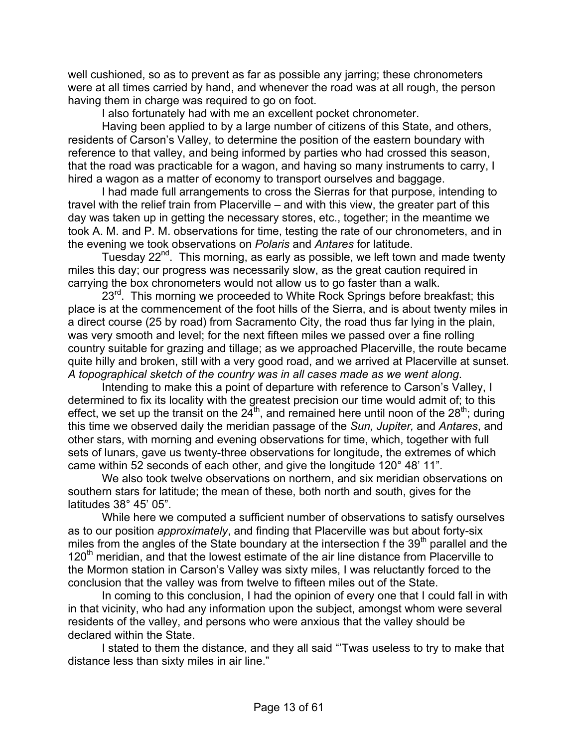well cushioned, so as to prevent as far as possible any jarring; these chronometers were at all times carried by hand, and whenever the road was at all rough, the person having them in charge was required to go on foot.

I also fortunately had with me an excellent pocket chronometer.

Having been applied to by a large number of citizens of this State, and others, residents of Carson's Valley, to determine the position of the eastern boundary with reference to that valley, and being informed by parties who had crossed this season, that the road was practicable for a wagon, and having so many instruments to carry, I hired a wagon as a matter of economy to transport ourselves and baggage.

I had made full arrangements to cross the Sierras for that purpose, intending to travel with the relief train from Placerville – and with this view, the greater part of this day was taken up in getting the necessary stores, etc., together; in the meantime we took A. M. and P. M. observations for time, testing the rate of our chronometers, and in the evening we took observations on *Polaris* and *Antares* for latitude.

Tuesday 22<sup>nd</sup>. This morning, as early as possible, we left town and made twenty miles this day; our progress was necessarily slow, as the great caution required in carrying the box chronometers would not allow us to go faster than a walk.

 $23<sup>rd</sup>$ . This morning we proceeded to White Rock Springs before breakfast; this place is at the commencement of the foot hills of the Sierra, and is about twenty miles in a direct course (25 by road) from Sacramento City, the road thus far lying in the plain, was very smooth and level; for the next fifteen miles we passed over a fine rolling country suitable for grazing and tillage; as we approached Placerville, the route became quite hilly and broken, still with a very good road, and we arrived at Placerville at sunset. *A topographical sketch of the country was in all cases made as we went along*.

Intending to make this a point of departure with reference to Carson's Valley, I determined to fix its locality with the greatest precision our time would admit of; to this effect, we set up the transit on the  $24^{th}$ , and remained here until noon of the  $28^{th}$ ; during this time we observed daily the meridian passage of the *Sun, Jupiter,* and *Antares*, and other stars, with morning and evening observations for time, which, together with full sets of lunars, gave us twenty-three observations for longitude, the extremes of which came within 52 seconds of each other, and give the longitude 120° 48' 11".

We also took twelve observations on northern, and six meridian observations on southern stars for latitude; the mean of these, both north and south, gives for the latitudes 38° 45' 05".

While here we computed a sufficient number of observations to satisfy ourselves as to our position *approximately*, and finding that Placerville was but about forty-six miles from the angles of the State boundary at the intersection f the 39<sup>th</sup> parallel and the 120<sup>th</sup> meridian, and that the lowest estimate of the air line distance from Placerville to the Mormon station in Carson's Valley was sixty miles, I was reluctantly forced to the conclusion that the valley was from twelve to fifteen miles out of the State.

In coming to this conclusion, I had the opinion of every one that I could fall in with in that vicinity, who had any information upon the subject, amongst whom were several residents of the valley, and persons who were anxious that the valley should be declared within the State.

I stated to them the distance, and they all said "'Twas useless to try to make that distance less than sixty miles in air line."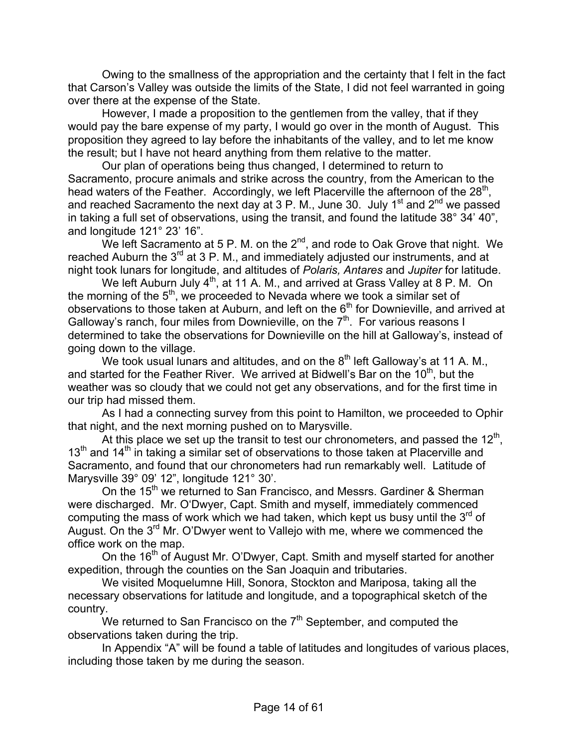Owing to the smallness of the appropriation and the certainty that I felt in the fact that Carson's Valley was outside the limits of the State, I did not feel warranted in going over there at the expense of the State.

However, I made a proposition to the gentlemen from the valley, that if they would pay the bare expense of my party, I would go over in the month of August. This proposition they agreed to lay before the inhabitants of the valley, and to let me know the result; but I have not heard anything from them relative to the matter.

Our plan of operations being thus changed, I determined to return to Sacramento, procure animals and strike across the country, from the American to the head waters of the Feather. Accordingly, we left Placerville the afternoon of the  $28<sup>th</sup>$ , and reached Sacramento the next day at 3 P. M., June 30. July 1<sup>st</sup> and 2<sup>nd</sup> we passed in taking a full set of observations, using the transit, and found the latitude 38° 34' 40", and longitude 121° 23' 16".

We left Sacramento at 5 P. M. on the  $2^{nd}$ , and rode to Oak Grove that night. We reached Auburn the  $3^{rd}$  at 3 P. M., and immediately adjusted our instruments, and at night took lunars for longitude, and altitudes of *Polaris, Antares* and *Jupiter* for latitude.

We left Auburn July 4<sup>th</sup>, at 11 A. M., and arrived at Grass Valley at 8 P. M. On the morning of the  $5<sup>th</sup>$ , we proceeded to Nevada where we took a similar set of observations to those taken at Auburn, and left on the  $6<sup>th</sup>$  for Downieville, and arrived at Galloway's ranch, four miles from Downieville, on the  $7<sup>th</sup>$ . For various reasons I determined to take the observations for Downieville on the hill at Galloway's, instead of going down to the village.

We took usual lunars and altitudes, and on the  $8<sup>th</sup>$  left Galloway's at 11 A. M., and started for the Feather River. We arrived at Bidwell's Bar on the  $10<sup>th</sup>$ , but the weather was so cloudy that we could not get any observations, and for the first time in our trip had missed them.

As I had a connecting survey from this point to Hamilton, we proceeded to Ophir that night, and the next morning pushed on to Marysville.

At this place we set up the transit to test our chronometers, and passed the  $12<sup>th</sup>$ ,  $13<sup>th</sup>$  and  $14<sup>th</sup>$  in taking a similar set of observations to those taken at Placerville and Sacramento, and found that our chronometers had run remarkably well. Latitude of Marysville 39° 09' 12", longitude 121° 30'.

On the 15<sup>th</sup> we returned to San Francisco, and Messrs. Gardiner & Sherman were discharged. Mr. O'Dwyer, Capt. Smith and myself, immediately commenced computing the mass of work which we had taken, which kept us busy until the  $3<sup>rd</sup>$  of August. On the 3<sup>rd</sup> Mr. O'Dwyer went to Vallejo with me, where we commenced the office work on the map.

On the 16<sup>th</sup> of August Mr. O'Dwyer, Capt. Smith and myself started for another expedition, through the counties on the San Joaquin and tributaries.

We visited Moquelumne Hill, Sonora, Stockton and Mariposa, taking all the necessary observations for latitude and longitude, and a topographical sketch of the country.

We returned to San Francisco on the  $7<sup>th</sup>$  September, and computed the observations taken during the trip.

In Appendix "A" will be found a table of latitudes and longitudes of various places, including those taken by me during the season.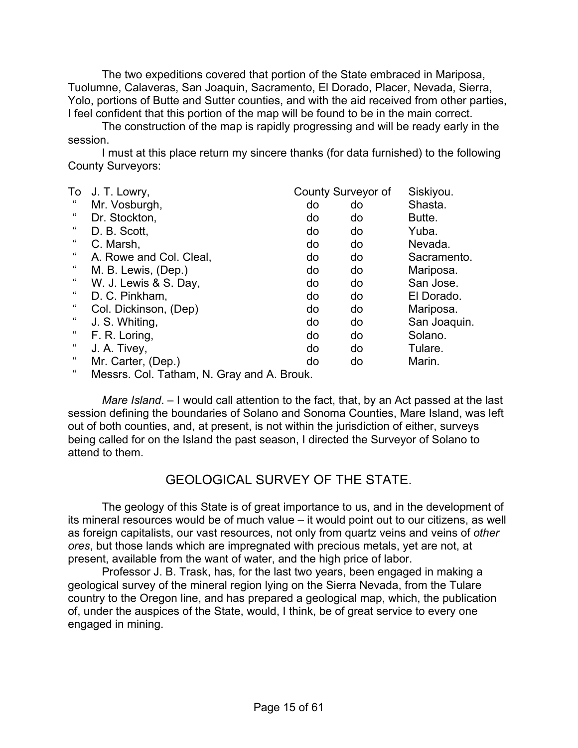The two expeditions covered that portion of the State embraced in Mariposa, Tuolumne, Calaveras, San Joaquin, Sacramento, El Dorado, Placer, Nevada, Sierra, Yolo, portions of Butte and Sutter counties, and with the aid received from other parties, I feel confident that this portion of the map will be found to be in the main correct.

The construction of the map is rapidly progressing and will be ready early in the session.

I must at this place return my sincere thanks (for data furnished) to the following County Surveyors:

| To                 | J. T. Lowry,                               |    | County Surveyor of | Siskiyou.    |
|--------------------|--------------------------------------------|----|--------------------|--------------|
| "                  | Mr. Vosburgh,                              | do | do                 | Shasta.      |
| "                  | Dr. Stockton,                              | do | do                 | Butte.       |
| "                  | D. B. Scott.                               | do | do                 | Yuba.        |
| "                  | C. Marsh,                                  | do | do                 | Nevada.      |
| "                  | A. Rowe and Col. Cleal,                    | do | do                 | Sacramento.  |
| "                  | M. B. Lewis, (Dep.)                        | do | do                 | Mariposa.    |
| "                  | W. J. Lewis & S. Day,                      | do | do                 | San Jose.    |
| "                  | D. C. Pinkham,                             | do | do                 | El Dorado.   |
| "                  | Col. Dickinson, (Dep)                      | do | do                 | Mariposa.    |
| $\epsilon$         | J. S. Whiting,                             | do | do                 | San Joaquin. |
| "                  | F. R. Loring,                              | do | do                 | Solano.      |
| "                  | J. A. Tivey,                               | do | do                 | Tulare.      |
| "                  | Mr. Carter, (Dep.)                         | do | do                 | Marin.       |
| $\epsilon\epsilon$ | Messrs. Col. Tatham, N. Gray and A. Brouk. |    |                    |              |

*Mare Island*. – I would call attention to the fact, that, by an Act passed at the last session defining the boundaries of Solano and Sonoma Counties, Mare Island, was left out of both counties, and, at present, is not within the jurisdiction of either, surveys being called for on the Island the past season, I directed the Surveyor of Solano to attend to them.

## GEOLOGICAL SURVEY OF THE STATE.

The geology of this State is of great importance to us, and in the development of its mineral resources would be of much value – it would point out to our citizens, as well as foreign capitalists, our vast resources, not only from quartz veins and veins of *other ores*, but those lands which are impregnated with precious metals, yet are not, at present, available from the want of water, and the high price of labor.

Professor J. B. Trask, has, for the last two years, been engaged in making a geological survey of the mineral region lying on the Sierra Nevada, from the Tulare country to the Oregon line, and has prepared a geological map, which, the publication of, under the auspices of the State, would, I think, be of great service to every one engaged in mining.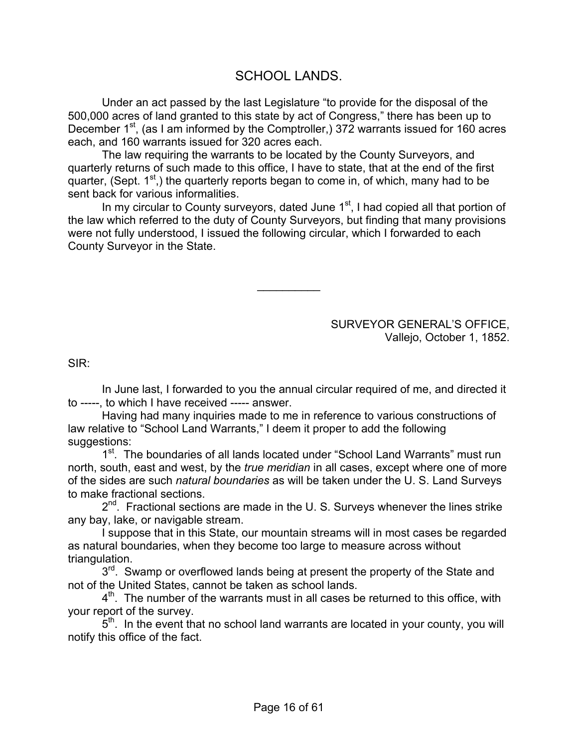## SCHOOL LANDS.

Under an act passed by the last Legislature "to provide for the disposal of the 500,000 acres of land granted to this state by act of Congress," there has been up to December  $1<sup>st</sup>$ , (as I am informed by the Comptroller,) 372 warrants issued for 160 acres each, and 160 warrants issued for 320 acres each.

The law requiring the warrants to be located by the County Surveyors, and quarterly returns of such made to this office, I have to state, that at the end of the first quarter, (Sept.  $1<sup>st</sup>$ ), the quarterly reports began to come in, of which, many had to be sent back for various informalities.

In my circular to County surveyors, dated June  $1<sup>st</sup>$ , I had copied all that portion of the law which referred to the duty of County Surveyors, but finding that many provisions were not fully understood, I issued the following circular, which I forwarded to each County Surveyor in the State.

 $\frac{1}{2}$ 

SURVEYOR GENERAL'S OFFICE, Vallejo, October 1, 1852.

SIR:

In June last, I forwarded to you the annual circular required of me, and directed it to -----, to which I have received ----- answer.

Having had many inquiries made to me in reference to various constructions of law relative to "School Land Warrants," I deem it proper to add the following suggestions:

1<sup>st</sup>. The boundaries of all lands located under "School Land Warrants" must run north, south, east and west, by the *true meridian* in all cases, except where one of more of the sides are such *natural boundaries* as will be taken under the U. S. Land Surveys to make fractional sections.

 $2^{nd}$ . Fractional sections are made in the U. S. Surveys whenever the lines strike any bay, lake, or navigable stream.

I suppose that in this State, our mountain streams will in most cases be regarded as natural boundaries, when they become too large to measure across without triangulation.

3<sup>rd</sup>. Swamp or overflowed lands being at present the property of the State and not of the United States, cannot be taken as school lands.

 $4<sup>th</sup>$ . The number of the warrants must in all cases be returned to this office, with your report of the survey.

 $5<sup>th</sup>$ . In the event that no school land warrants are located in your county, you will notify this office of the fact.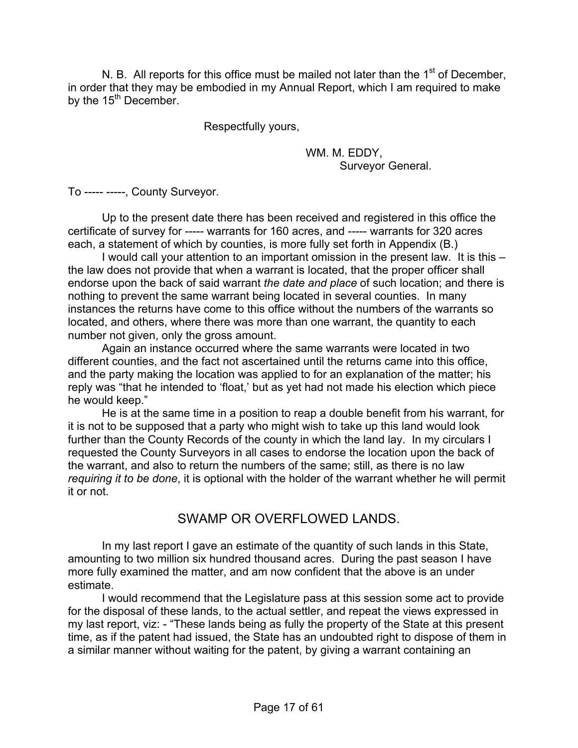N. B. All reports for this office must be mailed not later than the  $1<sup>st</sup>$  of December, in order that they may be embodied in my Annual Report, which I am required to make by the  $15<sup>th</sup>$  December.

Respectfully yours,

 WM. M. EDDY, Surveyor General.

To ----- -----, County Surveyor.

Up to the present date there has been received and registered in this office the certificate of survey for ----- warrants for 160 acres, and ----- warrants for 320 acres each, a statement of which by counties, is more fully set forth in Appendix (B.)

I would call your attention to an important omission in the present law. It is this – the law does not provide that when a warrant is located, that the proper officer shall endorse upon the back of said warrant *the date and place* of such location; and there is nothing to prevent the same warrant being located in several counties. In many instances the returns have come to this office without the numbers of the warrants so located, and others, where there was more than one warrant, the quantity to each number not given, only the gross amount.

Again an instance occurred where the same warrants were located in two different counties, and the fact not ascertained until the returns came into this office, and the party making the location was applied to for an explanation of the matter; his reply was "that he intended to 'float,' but as yet had not made his election which piece he would keep."

He is at the same time in a position to reap a double benefit from his warrant, for it is not to be supposed that a party who might wish to take up this land would look further than the County Records of the county in which the land lay. In my circulars I requested the County Surveyors in all cases to endorse the location upon the back of the warrant, and also to return the numbers of the same; still, as there is no law *requiring it to be done*, it is optional with the holder of the warrant whether he will permit it or not.

# SWAMP OR OVERFLOWED LANDS.

In my last report I gave an estimate of the quantity of such lands in this State, amounting to two million six hundred thousand acres. During the past season I have more fully examined the matter, and am now confident that the above is an under estimate.

I would recommend that the Legislature pass at this session some act to provide for the disposal of these lands, to the actual settler, and repeat the views expressed in my last report, viz: - "These lands being as fully the property of the State at this present time, as if the patent had issued, the State has an undoubted right to dispose of them in a similar manner without waiting for the patent, by giving a warrant containing an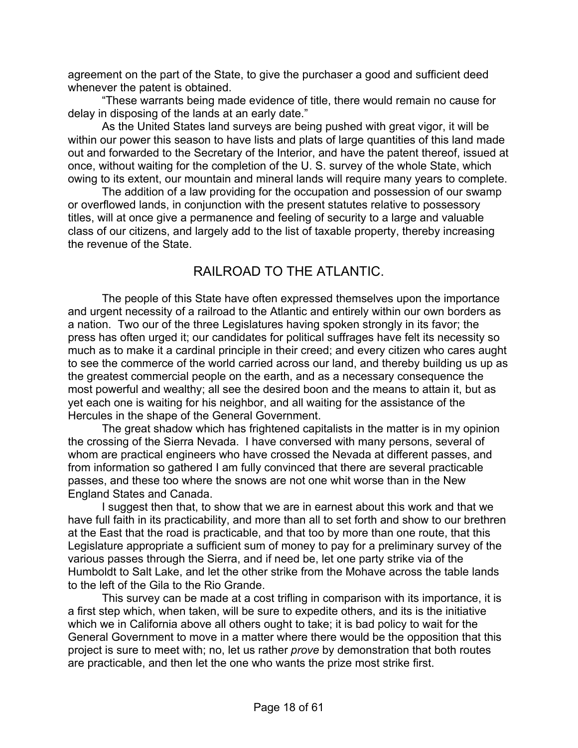agreement on the part of the State, to give the purchaser a good and sufficient deed whenever the patent is obtained.

"These warrants being made evidence of title, there would remain no cause for delay in disposing of the lands at an early date."

As the United States land surveys are being pushed with great vigor, it will be within our power this season to have lists and plats of large quantities of this land made out and forwarded to the Secretary of the Interior, and have the patent thereof, issued at once, without waiting for the completion of the U. S. survey of the whole State, which owing to its extent, our mountain and mineral lands will require many years to complete.

The addition of a law providing for the occupation and possession of our swamp or overflowed lands, in conjunction with the present statutes relative to possessory titles, will at once give a permanence and feeling of security to a large and valuable class of our citizens, and largely add to the list of taxable property, thereby increasing the revenue of the State.

# RAILROAD TO THE ATLANTIC.

The people of this State have often expressed themselves upon the importance and urgent necessity of a railroad to the Atlantic and entirely within our own borders as a nation. Two our of the three Legislatures having spoken strongly in its favor; the press has often urged it; our candidates for political suffrages have felt its necessity so much as to make it a cardinal principle in their creed; and every citizen who cares aught to see the commerce of the world carried across our land, and thereby building us up as the greatest commercial people on the earth, and as a necessary consequence the most powerful and wealthy; all see the desired boon and the means to attain it, but as yet each one is waiting for his neighbor, and all waiting for the assistance of the Hercules in the shape of the General Government.

The great shadow which has frightened capitalists in the matter is in my opinion the crossing of the Sierra Nevada. I have conversed with many persons, several of whom are practical engineers who have crossed the Nevada at different passes, and from information so gathered I am fully convinced that there are several practicable passes, and these too where the snows are not one whit worse than in the New England States and Canada.

I suggest then that, to show that we are in earnest about this work and that we have full faith in its practicability, and more than all to set forth and show to our brethren at the East that the road is practicable, and that too by more than one route, that this Legislature appropriate a sufficient sum of money to pay for a preliminary survey of the various passes through the Sierra, and if need be, let one party strike via of the Humboldt to Salt Lake, and let the other strike from the Mohave across the table lands to the left of the Gila to the Rio Grande.

This survey can be made at a cost trifling in comparison with its importance, it is a first step which, when taken, will be sure to expedite others, and its is the initiative which we in California above all others ought to take; it is bad policy to wait for the General Government to move in a matter where there would be the opposition that this project is sure to meet with; no, let us rather *prove* by demonstration that both routes are practicable, and then let the one who wants the prize most strike first.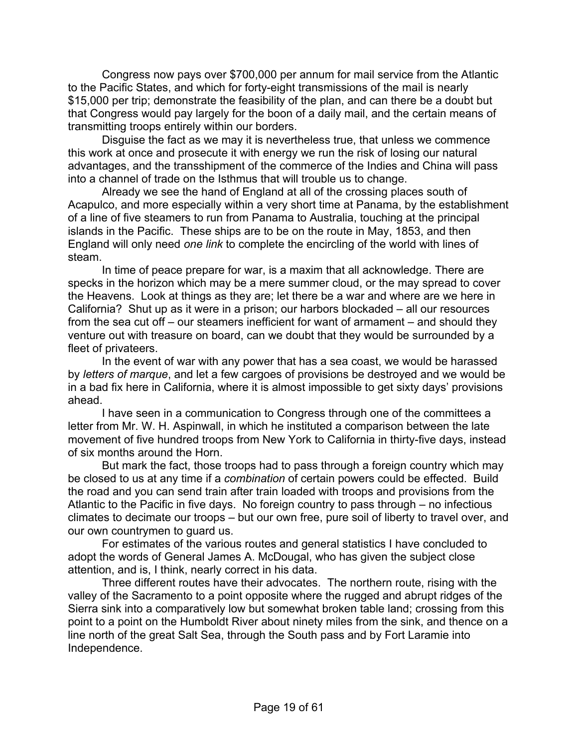Congress now pays over \$700,000 per annum for mail service from the Atlantic to the Pacific States, and which for forty-eight transmissions of the mail is nearly \$15,000 per trip; demonstrate the feasibility of the plan, and can there be a doubt but that Congress would pay largely for the boon of a daily mail, and the certain means of transmitting troops entirely within our borders.

Disguise the fact as we may it is nevertheless true, that unless we commence this work at once and prosecute it with energy we run the risk of losing our natural advantages, and the transshipment of the commerce of the Indies and China will pass into a channel of trade on the Isthmus that will trouble us to change.

Already we see the hand of England at all of the crossing places south of Acapulco, and more especially within a very short time at Panama, by the establishment of a line of five steamers to run from Panama to Australia, touching at the principal islands in the Pacific. These ships are to be on the route in May, 1853, and then England will only need *one link* to complete the encircling of the world with lines of steam.

In time of peace prepare for war, is a maxim that all acknowledge. There are specks in the horizon which may be a mere summer cloud, or the may spread to cover the Heavens. Look at things as they are; let there be a war and where are we here in California? Shut up as it were in a prison; our harbors blockaded – all our resources from the sea cut off – our steamers inefficient for want of armament – and should they venture out with treasure on board, can we doubt that they would be surrounded by a fleet of privateers.

In the event of war with any power that has a sea coast, we would be harassed by *letters of marque*, and let a few cargoes of provisions be destroyed and we would be in a bad fix here in California, where it is almost impossible to get sixty days' provisions ahead.

I have seen in a communication to Congress through one of the committees a letter from Mr. W. H. Aspinwall, in which he instituted a comparison between the late movement of five hundred troops from New York to California in thirty-five days, instead of six months around the Horn.

But mark the fact, those troops had to pass through a foreign country which may be closed to us at any time if a *combination* of certain powers could be effected. Build the road and you can send train after train loaded with troops and provisions from the Atlantic to the Pacific in five days. No foreign country to pass through – no infectious climates to decimate our troops – but our own free, pure soil of liberty to travel over, and our own countrymen to guard us.

For estimates of the various routes and general statistics I have concluded to adopt the words of General James A. McDougal, who has given the subject close attention, and is, I think, nearly correct in his data.

Three different routes have their advocates. The northern route, rising with the valley of the Sacramento to a point opposite where the rugged and abrupt ridges of the Sierra sink into a comparatively low but somewhat broken table land; crossing from this point to a point on the Humboldt River about ninety miles from the sink, and thence on a line north of the great Salt Sea, through the South pass and by Fort Laramie into Independence.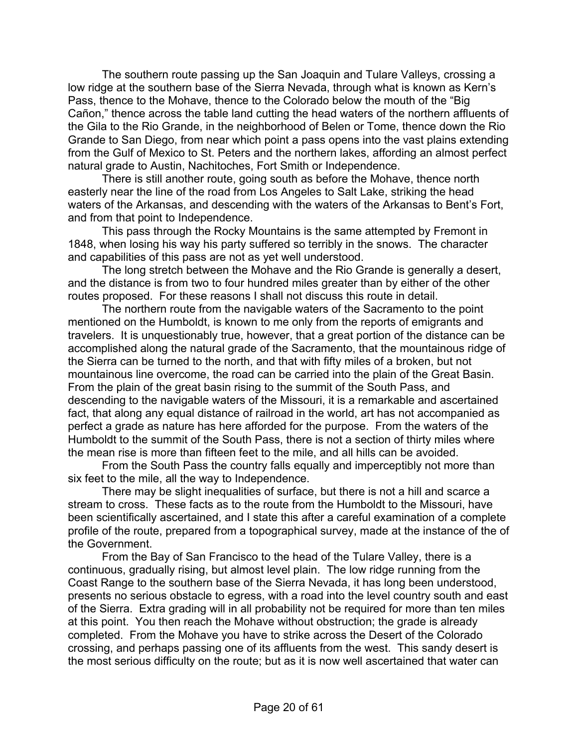The southern route passing up the San Joaquin and Tulare Valleys, crossing a low ridge at the southern base of the Sierra Nevada, through what is known as Kern's Pass, thence to the Mohave, thence to the Colorado below the mouth of the "Big Cañon," thence across the table land cutting the head waters of the northern affluents of the Gila to the Rio Grande, in the neighborhood of Belen or Tome, thence down the Rio Grande to San Diego, from near which point a pass opens into the vast plains extending from the Gulf of Mexico to St. Peters and the northern lakes, affording an almost perfect natural grade to Austin, Nachitoches, Fort Smith or Independence.

There is still another route, going south as before the Mohave, thence north easterly near the line of the road from Los Angeles to Salt Lake, striking the head waters of the Arkansas, and descending with the waters of the Arkansas to Bent's Fort, and from that point to Independence.

This pass through the Rocky Mountains is the same attempted by Fremont in 1848, when losing his way his party suffered so terribly in the snows. The character and capabilities of this pass are not as yet well understood.

The long stretch between the Mohave and the Rio Grande is generally a desert, and the distance is from two to four hundred miles greater than by either of the other routes proposed. For these reasons I shall not discuss this route in detail.

The northern route from the navigable waters of the Sacramento to the point mentioned on the Humboldt, is known to me only from the reports of emigrants and travelers. It is unquestionably true, however, that a great portion of the distance can be accomplished along the natural grade of the Sacramento, that the mountainous ridge of the Sierra can be turned to the north, and that with fifty miles of a broken, but not mountainous line overcome, the road can be carried into the plain of the Great Basin. From the plain of the great basin rising to the summit of the South Pass, and descending to the navigable waters of the Missouri, it is a remarkable and ascertained fact, that along any equal distance of railroad in the world, art has not accompanied as perfect a grade as nature has here afforded for the purpose. From the waters of the Humboldt to the summit of the South Pass, there is not a section of thirty miles where the mean rise is more than fifteen feet to the mile, and all hills can be avoided.

From the South Pass the country falls equally and imperceptibly not more than six feet to the mile, all the way to Independence.

There may be slight inequalities of surface, but there is not a hill and scarce a stream to cross. These facts as to the route from the Humboldt to the Missouri, have been scientifically ascertained, and I state this after a careful examination of a complete profile of the route, prepared from a topographical survey, made at the instance of the of the Government.

From the Bay of San Francisco to the head of the Tulare Valley, there is a continuous, gradually rising, but almost level plain. The low ridge running from the Coast Range to the southern base of the Sierra Nevada, it has long been understood, presents no serious obstacle to egress, with a road into the level country south and east of the Sierra. Extra grading will in all probability not be required for more than ten miles at this point. You then reach the Mohave without obstruction; the grade is already completed. From the Mohave you have to strike across the Desert of the Colorado crossing, and perhaps passing one of its affluents from the west. This sandy desert is the most serious difficulty on the route; but as it is now well ascertained that water can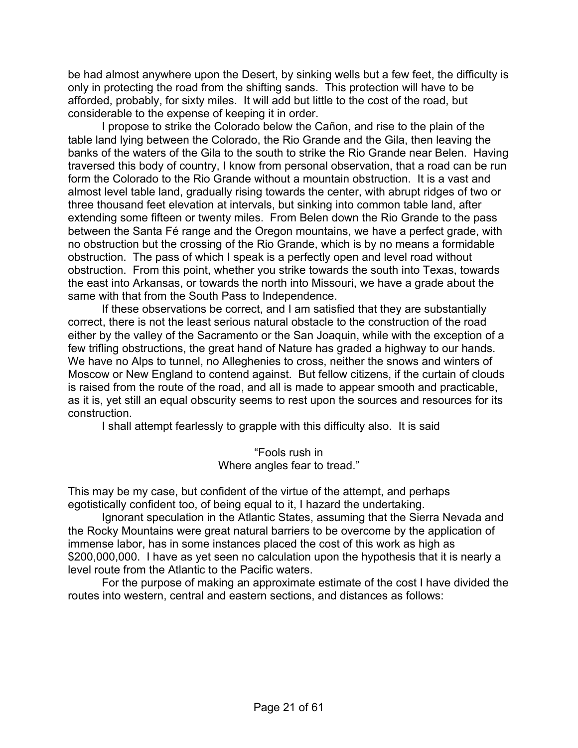be had almost anywhere upon the Desert, by sinking wells but a few feet, the difficulty is only in protecting the road from the shifting sands. This protection will have to be afforded, probably, for sixty miles. It will add but little to the cost of the road, but considerable to the expense of keeping it in order.

I propose to strike the Colorado below the Cañon, and rise to the plain of the table land lying between the Colorado, the Rio Grande and the Gila, then leaving the banks of the waters of the Gila to the south to strike the Rio Grande near Belen. Having traversed this body of country, I know from personal observation, that a road can be run form the Colorado to the Rio Grande without a mountain obstruction. It is a vast and almost level table land, gradually rising towards the center, with abrupt ridges of two or three thousand feet elevation at intervals, but sinking into common table land, after extending some fifteen or twenty miles. From Belen down the Rio Grande to the pass between the Santa Fé range and the Oregon mountains, we have a perfect grade, with no obstruction but the crossing of the Rio Grande, which is by no means a formidable obstruction. The pass of which I speak is a perfectly open and level road without obstruction. From this point, whether you strike towards the south into Texas, towards the east into Arkansas, or towards the north into Missouri, we have a grade about the same with that from the South Pass to Independence.

If these observations be correct, and I am satisfied that they are substantially correct, there is not the least serious natural obstacle to the construction of the road either by the valley of the Sacramento or the San Joaquin, while with the exception of a few trifling obstructions, the great hand of Nature has graded a highway to our hands. We have no Alps to tunnel, no Alleghenies to cross, neither the snows and winters of Moscow or New England to contend against. But fellow citizens, if the curtain of clouds is raised from the route of the road, and all is made to appear smooth and practicable, as it is, yet still an equal obscurity seems to rest upon the sources and resources for its construction.

I shall attempt fearlessly to grapple with this difficulty also. It is said

"Fools rush in Where angles fear to tread."

This may be my case, but confident of the virtue of the attempt, and perhaps egotistically confident too, of being equal to it, I hazard the undertaking.

Ignorant speculation in the Atlantic States, assuming that the Sierra Nevada and the Rocky Mountains were great natural barriers to be overcome by the application of immense labor, has in some instances placed the cost of this work as high as \$200,000,000. I have as yet seen no calculation upon the hypothesis that it is nearly a level route from the Atlantic to the Pacific waters.

For the purpose of making an approximate estimate of the cost I have divided the routes into western, central and eastern sections, and distances as follows: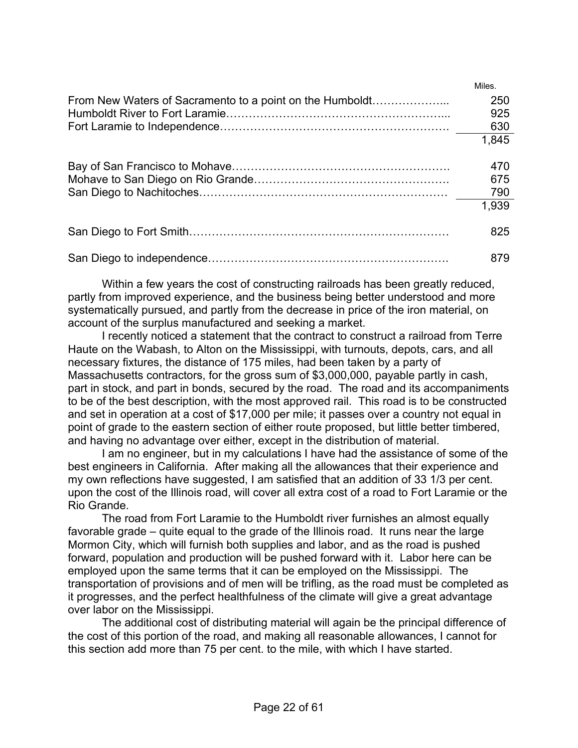|                                                          | Miles. |
|----------------------------------------------------------|--------|
| From New Waters of Sacramento to a point on the Humboldt | 250    |
|                                                          | 925    |
|                                                          | 630    |
|                                                          | 1,845  |
|                                                          |        |
|                                                          | 470    |
|                                                          | 675    |
|                                                          | 790    |
|                                                          | 1,939  |
|                                                          |        |
|                                                          | 825    |
|                                                          | 879    |
|                                                          |        |

Within a few years the cost of constructing railroads has been greatly reduced, partly from improved experience, and the business being better understood and more systematically pursued, and partly from the decrease in price of the iron material, on account of the surplus manufactured and seeking a market.

I recently noticed a statement that the contract to construct a railroad from Terre Haute on the Wabash, to Alton on the Mississippi, with turnouts, depots, cars, and all necessary fixtures, the distance of 175 miles, had been taken by a party of Massachusetts contractors, for the gross sum of \$3,000,000, payable partly in cash, part in stock, and part in bonds, secured by the road. The road and its accompaniments to be of the best description, with the most approved rail. This road is to be constructed and set in operation at a cost of \$17,000 per mile; it passes over a country not equal in point of grade to the eastern section of either route proposed, but little better timbered, and having no advantage over either, except in the distribution of material.

I am no engineer, but in my calculations I have had the assistance of some of the best engineers in California. After making all the allowances that their experience and my own reflections have suggested, I am satisfied that an addition of 33 1/3 per cent. upon the cost of the Illinois road, will cover all extra cost of a road to Fort Laramie or the Rio Grande.

The road from Fort Laramie to the Humboldt river furnishes an almost equally favorable grade – quite equal to the grade of the Illinois road. It runs near the large Mormon City, which will furnish both supplies and labor, and as the road is pushed forward, population and production will be pushed forward with it. Labor here can be employed upon the same terms that it can be employed on the Mississippi. The transportation of provisions and of men will be trifling, as the road must be completed as it progresses, and the perfect healthfulness of the climate will give a great advantage over labor on the Mississippi.

The additional cost of distributing material will again be the principal difference of the cost of this portion of the road, and making all reasonable allowances, I cannot for this section add more than 75 per cent. to the mile, with which I have started.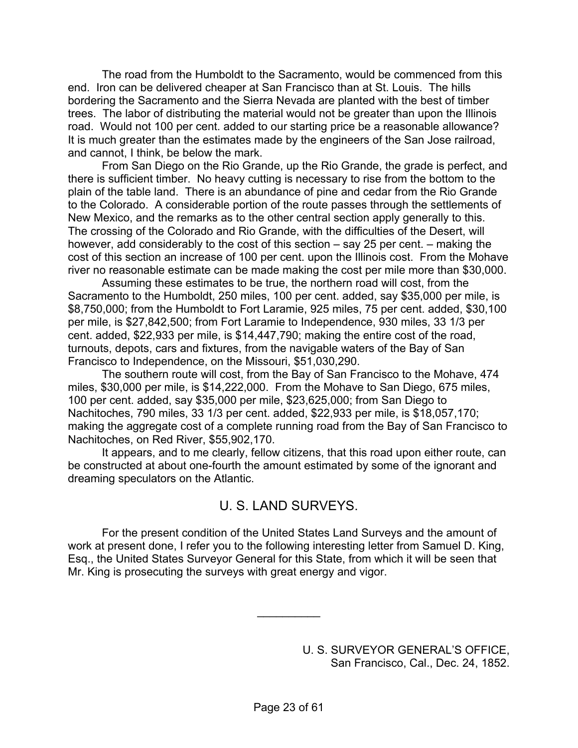The road from the Humboldt to the Sacramento, would be commenced from this end. Iron can be delivered cheaper at San Francisco than at St. Louis. The hills bordering the Sacramento and the Sierra Nevada are planted with the best of timber trees. The labor of distributing the material would not be greater than upon the Illinois road. Would not 100 per cent. added to our starting price be a reasonable allowance? It is much greater than the estimates made by the engineers of the San Jose railroad, and cannot, I think, be below the mark.

From San Diego on the Rio Grande, up the Rio Grande, the grade is perfect, and there is sufficient timber. No heavy cutting is necessary to rise from the bottom to the plain of the table land. There is an abundance of pine and cedar from the Rio Grande to the Colorado. A considerable portion of the route passes through the settlements of New Mexico, and the remarks as to the other central section apply generally to this. The crossing of the Colorado and Rio Grande, with the difficulties of the Desert, will however, add considerably to the cost of this section – say 25 per cent. – making the cost of this section an increase of 100 per cent. upon the Illinois cost. From the Mohave river no reasonable estimate can be made making the cost per mile more than \$30,000.

Assuming these estimates to be true, the northern road will cost, from the Sacramento to the Humboldt, 250 miles, 100 per cent. added, say \$35,000 per mile, is \$8,750,000; from the Humboldt to Fort Laramie, 925 miles, 75 per cent. added, \$30,100 per mile, is \$27,842,500; from Fort Laramie to Independence, 930 miles, 33 1/3 per cent. added, \$22,933 per mile, is \$14,447,790; making the entire cost of the road, turnouts, depots, cars and fixtures, from the navigable waters of the Bay of San Francisco to Independence, on the Missouri, \$51,030,290.

The southern route will cost, from the Bay of San Francisco to the Mohave, 474 miles, \$30,000 per mile, is \$14,222,000. From the Mohave to San Diego, 675 miles, 100 per cent. added, say \$35,000 per mile, \$23,625,000; from San Diego to Nachitoches, 790 miles, 33 1/3 per cent. added, \$22,933 per mile, is \$18,057,170; making the aggregate cost of a complete running road from the Bay of San Francisco to Nachitoches, on Red River, \$55,902,170.

It appears, and to me clearly, fellow citizens, that this road upon either route, can be constructed at about one-fourth the amount estimated by some of the ignorant and dreaming speculators on the Atlantic.

## U. S. LAND SURVEYS.

For the present condition of the United States Land Surveys and the amount of work at present done, I refer you to the following interesting letter from Samuel D. King, Esq., the United States Surveyor General for this State, from which it will be seen that Mr. King is prosecuting the surveys with great energy and vigor.

 $\frac{1}{2}$ 

U. S. SURVEYOR GENERAL'S OFFICE, San Francisco, Cal., Dec. 24, 1852.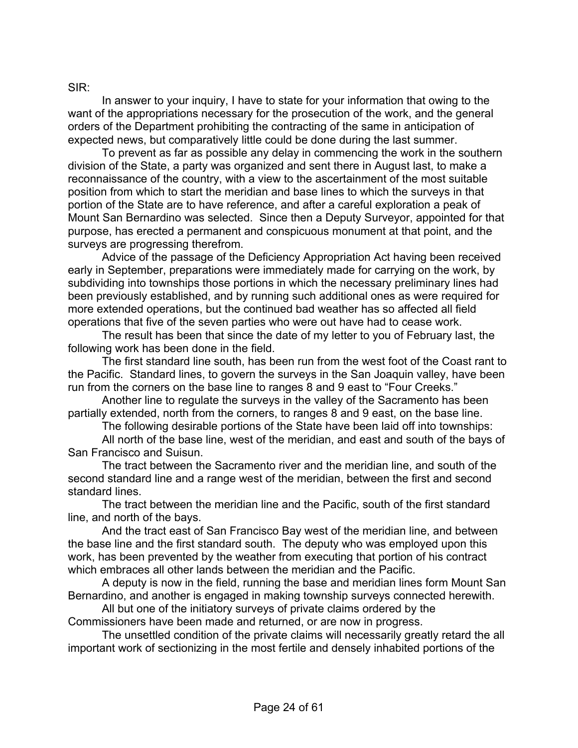#### SIR:

In answer to your inquiry, I have to state for your information that owing to the want of the appropriations necessary for the prosecution of the work, and the general orders of the Department prohibiting the contracting of the same in anticipation of expected news, but comparatively little could be done during the last summer.

To prevent as far as possible any delay in commencing the work in the southern division of the State, a party was organized and sent there in August last, to make a reconnaissance of the country, with a view to the ascertainment of the most suitable position from which to start the meridian and base lines to which the surveys in that portion of the State are to have reference, and after a careful exploration a peak of Mount San Bernardino was selected. Since then a Deputy Surveyor, appointed for that purpose, has erected a permanent and conspicuous monument at that point, and the surveys are progressing therefrom.

Advice of the passage of the Deficiency Appropriation Act having been received early in September, preparations were immediately made for carrying on the work, by subdividing into townships those portions in which the necessary preliminary lines had been previously established, and by running such additional ones as were required for more extended operations, but the continued bad weather has so affected all field operations that five of the seven parties who were out have had to cease work.

The result has been that since the date of my letter to you of February last, the following work has been done in the field.

The first standard line south, has been run from the west foot of the Coast rant to the Pacific. Standard lines, to govern the surveys in the San Joaquin valley, have been run from the corners on the base line to ranges 8 and 9 east to "Four Creeks."

Another line to regulate the surveys in the valley of the Sacramento has been partially extended, north from the corners, to ranges 8 and 9 east, on the base line.

The following desirable portions of the State have been laid off into townships:

All north of the base line, west of the meridian, and east and south of the bays of San Francisco and Suisun.

The tract between the Sacramento river and the meridian line, and south of the second standard line and a range west of the meridian, between the first and second standard lines.

The tract between the meridian line and the Pacific, south of the first standard line, and north of the bays.

And the tract east of San Francisco Bay west of the meridian line, and between the base line and the first standard south. The deputy who was employed upon this work, has been prevented by the weather from executing that portion of his contract which embraces all other lands between the meridian and the Pacific.

A deputy is now in the field, running the base and meridian lines form Mount San Bernardino, and another is engaged in making township surveys connected herewith.

All but one of the initiatory surveys of private claims ordered by the Commissioners have been made and returned, or are now in progress.

The unsettled condition of the private claims will necessarily greatly retard the all important work of sectionizing in the most fertile and densely inhabited portions of the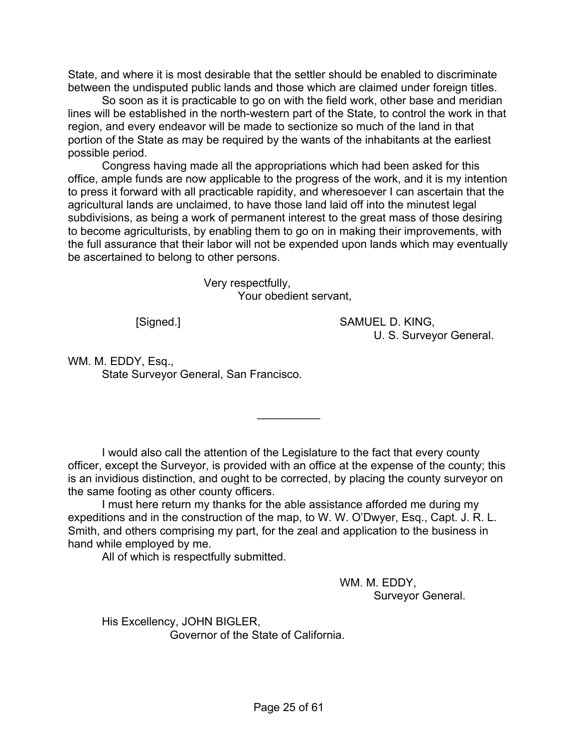State, and where it is most desirable that the settler should be enabled to discriminate between the undisputed public lands and those which are claimed under foreign titles.

So soon as it is practicable to go on with the field work, other base and meridian lines will be established in the north-western part of the State, to control the work in that region, and every endeavor will be made to sectionize so much of the land in that portion of the State as may be required by the wants of the inhabitants at the earliest possible period.

Congress having made all the appropriations which had been asked for this office, ample funds are now applicable to the progress of the work, and it is my intention to press it forward with all practicable rapidity, and wheresoever I can ascertain that the agricultural lands are unclaimed, to have those land laid off into the minutest legal subdivisions, as being a work of permanent interest to the great mass of those desiring to become agriculturists, by enabling them to go on in making their improvements, with the full assurance that their labor will not be expended upon lands which may eventually be ascertained to belong to other persons.

> Very respectfully, Your obedient servant,

 [Signed.] SAMUEL D. KING, U. S. Surveyor General.

WM. M. EDDY, Esq., State Surveyor General, San Francisco.

I would also call the attention of the Legislature to the fact that every county officer, except the Surveyor, is provided with an office at the expense of the county; this is an invidious distinction, and ought to be corrected, by placing the county surveyor on the same footing as other county officers.

 $\frac{1}{2}$ 

I must here return my thanks for the able assistance afforded me during my expeditions and in the construction of the map, to W. W. O'Dwyer, Esq., Capt. J. R. L. Smith, and others comprising my part, for the zeal and application to the business in hand while employed by me.

All of which is respectfully submitted.

 WM. M. EDDY, Surveyor General.

His Excellency, JOHN BIGLER, Governor of the State of California.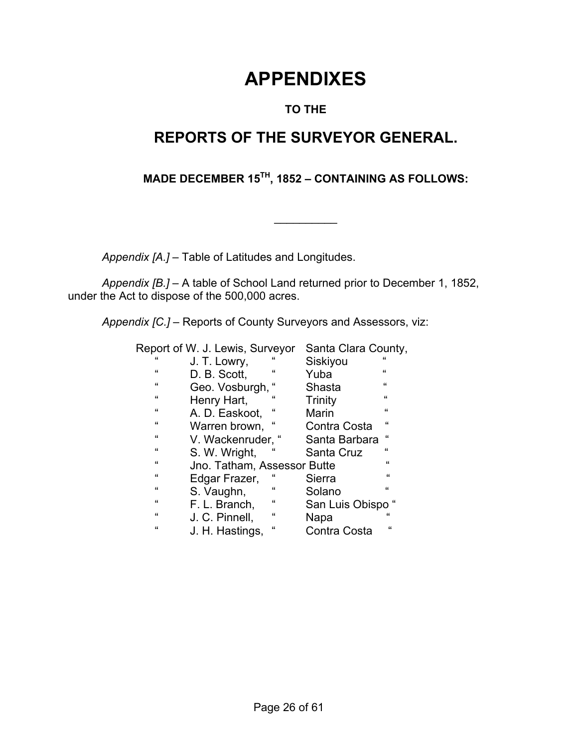# **APPENDIXES**

## **TO THE**

# **REPORTS OF THE SURVEYOR GENERAL.**

## **MADE DECEMBER 15TH, 1852 – CONTAINING AS FOLLOWS:**

 $\frac{1}{2}$ 

 *Appendix [A.]* – Table of Latitudes and Longitudes.

*Appendix [B.]* – A table of School Land returned prior to December 1, 1852, under the Act to dispose of the 500,000 acres.

*Appendix [C.]* – Reports of County Surveyors and Assessors, viz:

|              | Report of W. J. Lewis, Surveyor |              | Santa Clara County, |            |
|--------------|---------------------------------|--------------|---------------------|------------|
| $\mathbf{f}$ | J. T. Lowry,                    | "            | Siskiyou            | $\epsilon$ |
| $\epsilon$   | D. B. Scott,                    | "            | Yuba                | $\epsilon$ |
| $\epsilon$   | Geo. Vosburgh,                  |              | Shasta              | $\epsilon$ |
| $\epsilon$   | Henry Hart,                     | "            | Trinity             | "          |
| $\epsilon$   | A. D. Easkoot,                  | "            | Marin               | $\epsilon$ |
| $\epsilon$   | Warren brown.                   | "            | Contra Costa        | $\epsilon$ |
| $\epsilon$   | V. Wackenruder,                 | "            | Santa Barbara       | $\epsilon$ |
| $\epsilon$   | S. W. Wright,                   | $\epsilon$   | Santa Cruz          | $\epsilon$ |
| $\epsilon$   | Jno. Tatham, Assessor Butte     |              |                     | $\epsilon$ |
| $\epsilon$   | Edgar Frazer,                   | $\mathbf{f}$ | Sierra              | "          |
| $\epsilon$   | S. Vaughn,                      | $\epsilon$   | Solano              | $\epsilon$ |
| $\epsilon$   | F. L. Branch,                   | $\epsilon$   | San Luis Obispo     |            |
| $\epsilon$   | J. C. Pinnell,                  | $\epsilon$   | Napa                | $\epsilon$ |
| $\epsilon$   | J. H. Hastings,                 | $\epsilon$   | Contra Costa        | $\epsilon$ |
|              |                                 |              |                     |            |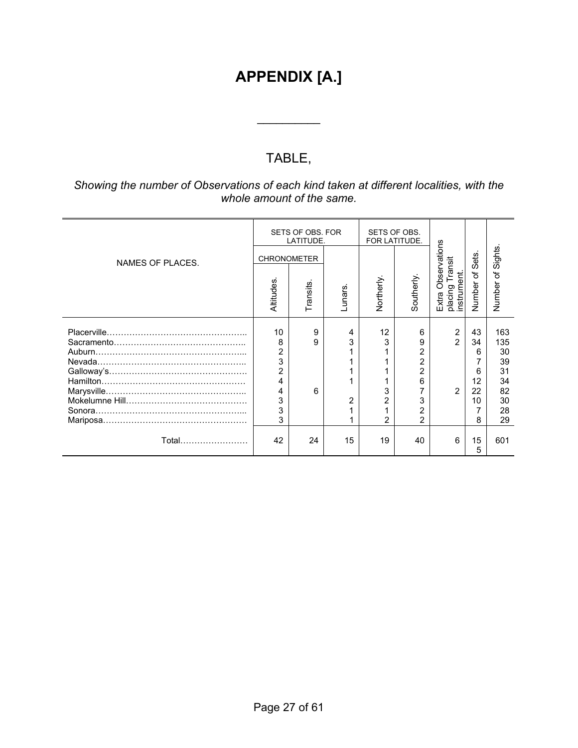# **APPENDIX [A.]**

# TABLE,

 $\frac{1}{2}$ 

#### *Showing the number of Observations of each kind taken at different localities, with the whole amount of the same.*

|                       |                                                              | SETS OF OBS. FOR<br>LATITUDE.  |                          | SETS OF OBS.<br>FOR LATITUDE. |                                                                                                            |                                                    |                                           |                                                            |
|-----------------------|--------------------------------------------------------------|--------------------------------|--------------------------|-------------------------------|------------------------------------------------------------------------------------------------------------|----------------------------------------------------|-------------------------------------------|------------------------------------------------------------|
| NAMES OF PLACES.      | Altitudes                                                    | <b>CHRONOMETER</b><br>Transits | unars.                   | Northerly.                    | Southerly                                                                                                  | Observations<br>ransit<br>nstrument.<br>placing    | Sets.<br>৳<br>Number                      | Sights.<br>৳<br>Number                                     |
|                       |                                                              |                                |                          |                               |                                                                                                            | Extra                                              |                                           |                                                            |
| Nevada.<br>Marysville | 10<br>8<br>2<br>3<br>$\overline{2}$<br>4<br>4<br>3<br>3<br>3 | 9<br>9<br>6                    | 4<br>3<br>$\overline{2}$ | 12<br>3<br>3<br>2             | 6<br>9<br>$\overline{2}$<br>$\overline{2}$<br>$\overline{2}$<br>6<br>3<br>$\overline{2}$<br>$\overline{2}$ | $\overline{2}$<br>$\mathfrak{p}$<br>$\overline{2}$ | 43<br>34<br>6<br>6<br>12<br>22<br>10<br>8 | 163<br>135<br>30<br>39<br>31<br>34<br>82<br>30<br>28<br>29 |
| Total……………………         | 42                                                           | 24                             | 15                       | 19                            | 40                                                                                                         | 6                                                  | 15<br>5                                   | 601                                                        |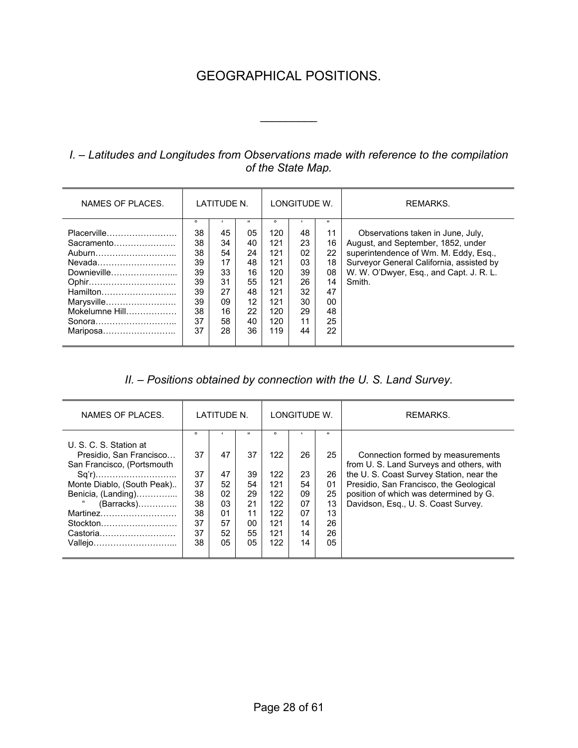# GEOGRAPHICAL POSITIONS.

 $\frac{1}{2}$ 

## *I. – Latitudes and Longitudes from Observations made with reference to the compilation of the State Map.*

| NAMES OF PLACES.                                                                                                                        | LATITUDE N.                                                               |                                                                |                                                                                  | LONGITUDE W.                                                                         |                                                                | REMARKS.                                                                     |                                                                                                                                                                                                                   |
|-----------------------------------------------------------------------------------------------------------------------------------------|---------------------------------------------------------------------------|----------------------------------------------------------------|----------------------------------------------------------------------------------|--------------------------------------------------------------------------------------|----------------------------------------------------------------|------------------------------------------------------------------------------|-------------------------------------------------------------------------------------------------------------------------------------------------------------------------------------------------------------------|
| Placerville<br>Sacramento<br>Auburn<br>Nevada<br>Downieville<br>Ophir<br>Hamilton<br>Marysville<br>Mokelumne Hill<br>Sonora<br>Mariposa | $\circ$<br>38<br>38<br>38<br>39<br>39<br>39<br>39<br>39<br>38<br>37<br>37 | 45<br>34<br>54<br>17<br>33<br>31<br>27<br>09<br>16<br>58<br>28 | $\mathfrak{c}$<br>05<br>40<br>24<br>48<br>16<br>55<br>48<br>12<br>22<br>40<br>36 | $\circ$<br>120<br>121<br>121<br>121<br>120<br>121<br>121<br>121<br>120<br>120<br>119 | 48<br>23<br>02<br>03<br>39<br>26<br>32<br>30<br>29<br>11<br>44 | $\epsilon$<br>11<br>16<br>22<br>18<br>08<br>14<br>47<br>00<br>48<br>25<br>22 | Observations taken in June, July,<br>August, and September, 1852, under<br>superintendence of Wm. M. Eddy, Esq.,<br>Surveyor General California, assisted by<br>W. W. O'Dwyer, Esq., and Capt. J. R. L.<br>Smith. |

#### *II. – Positions obtained by connection with the U. S. Land Survey.*

| NAMES OF PLACES.                                                                                                                                                                     | LATITUDE N.                                                   |                                                    |                                                                    |                                                                        | LONGITUDE W.                                       |                                                                | REMARKS.                                                                                                                                                                                                                                             |
|--------------------------------------------------------------------------------------------------------------------------------------------------------------------------------------|---------------------------------------------------------------|----------------------------------------------------|--------------------------------------------------------------------|------------------------------------------------------------------------|----------------------------------------------------|----------------------------------------------------------------|------------------------------------------------------------------------------------------------------------------------------------------------------------------------------------------------------------------------------------------------------|
| U. S. C. S. Station at<br>Presidio. San Francisco<br>San Francisco, (Portsmouth<br>Monte Diablo, (South Peak)<br>Benicia, (Landing)<br>(Barracks)<br>Stockton<br>Castoria<br>Vallejo | $\circ$<br>37<br>37<br>37<br>38<br>38<br>38<br>37<br>37<br>38 | 47<br>47<br>52<br>02<br>03<br>01<br>57<br>52<br>05 | $\mathbf{f}$<br>37<br>39<br>54<br>29<br>21<br>11<br>00<br>55<br>05 | $\circ$<br>122<br>122<br>121<br>122<br>122<br>122<br>121<br>121<br>122 | 26<br>23<br>54<br>09<br>07<br>07<br>14<br>14<br>14 | $\alpha$<br>25<br>26<br>01<br>25<br>13<br>13<br>26<br>26<br>05 | Connection formed by measurements<br>from U. S. Land Surveys and others, with<br>the U.S. Coast Survey Station, near the<br>Presidio, San Francisco, the Geological<br>position of which was determined by G.<br>Davidson, Esq., U. S. Coast Survey. |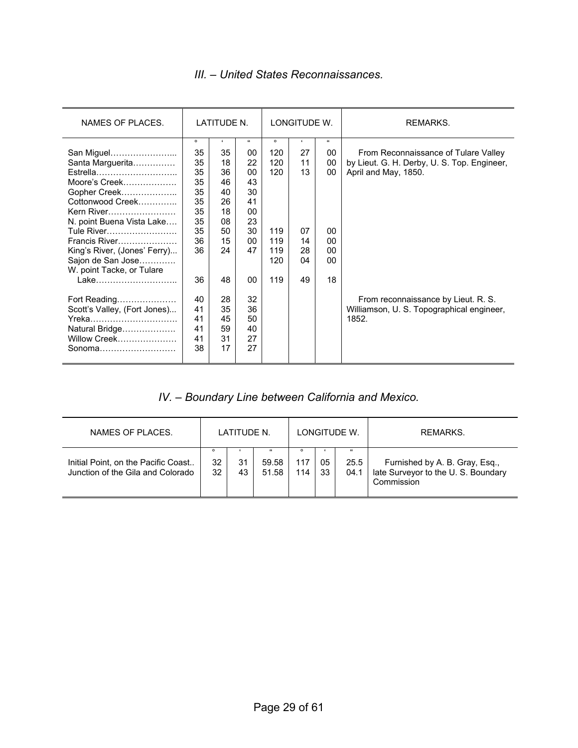## *III. – United States Reconnaissances.*

| NAMES OF PLACES.             |         | LATITUDE N. |            | LONGITUDE W. |    |            | REMARKS.                                    |
|------------------------------|---------|-------------|------------|--------------|----|------------|---------------------------------------------|
|                              | $\circ$ | $\epsilon$  | $\epsilon$ | $\circ$      | ٠  | $\epsilon$ |                                             |
| San Miguel                   | 35      | 35          | 00         | 120          | 27 | 00         | From Reconnaissance of Tulare Valley        |
| Santa Marguerita             | 35      | 18          | 22         | 120          | 11 | 00         | by Lieut. G. H. Derby, U. S. Top. Engineer, |
| Estrella                     | 35      | 36          | $00 \,$    | 120          | 13 | 00         | April and May, 1850.                        |
| Moore's Creek                | 35      | 46          | 43         |              |    |            |                                             |
| Gopher Creek                 | 35      | 40          | 30         |              |    |            |                                             |
| Cottonwood Creek             | 35      | 26          | 41         |              |    |            |                                             |
| Kern River                   | 35      | 18          | 00         |              |    |            |                                             |
| N. point Buena Vista Lake    | 35      | 08          | 23         |              |    |            |                                             |
| Tule River                   | 35      | 50          | 30         | 119          | 07 | 00         |                                             |
| Francis River                | 36      | 15          | 00         | 119          | 14 | 00         |                                             |
| King's River, (Jones' Ferry) | 36      | 24          | 47         | 119          | 28 | 00         |                                             |
| Sajon de San Jose            |         |             |            | 120          | 04 | $00 \,$    |                                             |
| W. point Tacke, or Tulare    |         |             |            |              |    |            |                                             |
| Lake                         | 36      | 48          | 00         | 119          | 49 | 18         |                                             |
| Fort Reading                 | 40      | 28          | 32         |              |    |            | From reconnaissance by Lieut. R. S.         |
| Scott's Valley, (Fort Jones) | 41      | 35          | 36         |              |    |            | Williamson, U. S. Topographical engineer,   |
| Yreka                        | 41      | 45          | 50         |              |    |            | 1852.                                       |
| Natural Bridge               | 41      | 59          | 40         |              |    |            |                                             |
| Willow Creek                 | 41      | 31          | 27         |              |    |            |                                             |
|                              | 38      | 17          | 27         |              |    |            |                                             |
|                              |         |             |            |              |    |            |                                             |

# *IV. – Boundary Line between California and Mexico.*

| NAMES OF PLACES.                                                         | LATITUDE N. |          |                              | LONGITUDE W. |          |                            | RFMARKS.                                                                           |
|--------------------------------------------------------------------------|-------------|----------|------------------------------|--------------|----------|----------------------------|------------------------------------------------------------------------------------|
| Initial Point, on the Pacific Coast<br>Junction of the Gila and Colorado | 32<br>32    | 31<br>43 | $\epsilon$<br>59.58<br>51.58 | 117<br>114   | 05<br>33 | $\epsilon$<br>25.5<br>04.1 | Furnished by A. B. Gray, Esq.,<br>late Surveyor to the U.S. Boundary<br>Commission |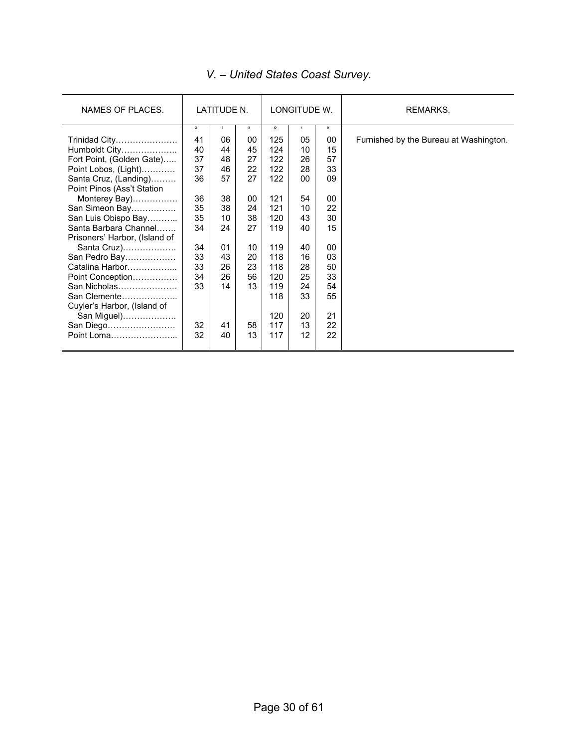| NAMES OF PLACES.              | LATITUDE N. |              |            |         | LONGITUDE W. |          | REMARKS.                               |
|-------------------------------|-------------|--------------|------------|---------|--------------|----------|----------------------------------------|
|                               | $\circ$     | $\mathbf{r}$ | $\epsilon$ | $\circ$ |              | $\alpha$ |                                        |
| Trinidad City                 | 41          | 06           | 00         | 125     | 05           | 00       | Furnished by the Bureau at Washington. |
| Humboldt City                 | 40          | 44           | 45         | 124     | 10           | 15       |                                        |
| Fort Point, (Golden Gate)     | 37          | 48           | 27         | 122     | 26           | 57       |                                        |
| Point Lobos, (Light)          | 37          | 46           | 22         | 122     | 28           | 33       |                                        |
| Santa Cruz, (Landing)         | 36          | 57           | 27         | 122     | 00           | 09       |                                        |
| Point Pinos (Ass't Station    |             |              |            |         |              |          |                                        |
| Monterey Bay)                 | 36          | 38           | 00         | 121     | 54           | 00       |                                        |
| San Simeon Bay                | 35          | 38           | 24         | 121     | 10           | 22       |                                        |
| San Luis Obispo Bay           | 35          | 10           | 38         | 120     | 43           | 30       |                                        |
| Santa Barbara Channel         | 34          | 24           | 27         | 119     | 40           | 15       |                                        |
| Prisoners' Harbor, (Island of |             |              |            |         |              |          |                                        |
| Santa Cruz)                   | 34          | 01           | 10         | 119     | 40           | $00 \,$  |                                        |
| San Pedro Bay                 | 33          | 43           | 20         | 118     | 16           | 03       |                                        |
| Catalina Harbor               | 33          | 26           | 23         | 118     | 28           | 50       |                                        |
| Point Conception              | 34          | 26           | 56         | 120     | 25           | 33       |                                        |
| San Nicholas                  | 33          | 14           | 13         | 119     | 24           | 54       |                                        |
| San Clemente                  |             |              |            | 118     | 33           | 55       |                                        |
| Cuyler's Harbor, (Island of   |             |              |            |         |              |          |                                        |
| San Miguel)                   |             |              |            | 120     | 20           | 21       |                                        |
| San Diego                     | 32          | 41           | 58         | 117     | 13           | 22       |                                        |
| Point Loma                    | 32          | 40           | 13         | 117     | 12           | 22       |                                        |

## *V. – United States Coast Survey.*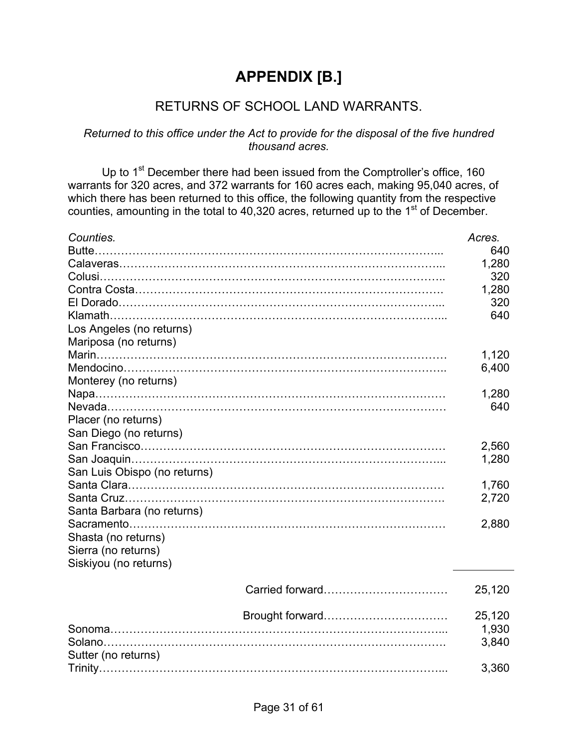# **APPENDIX [B.]**

## RETURNS OF SCHOOL LAND WARRANTS.

#### *Returned to this office under the Act to provide for the disposal of the five hundred thousand acres.*

Up to 1<sup>st</sup> December there had been issued from the Comptroller's office, 160 warrants for 320 acres, and 372 warrants for 160 acres each, making 95,040 acres, of which there has been returned to this office, the following quantity from the respective counties, amounting in the total to 40,320 acres, returned up to the 1<sup>st</sup> of December.

| Counties.                    | Acres. |
|------------------------------|--------|
|                              | 640    |
|                              | 1,280  |
|                              | 320    |
|                              | 1,280  |
|                              | 320    |
| Klamath.                     | 640    |
| Los Angeles (no returns)     |        |
| Mariposa (no returns)        |        |
|                              | 1,120  |
|                              | 6,400  |
| Monterey (no returns)        |        |
|                              | 1,280  |
|                              | 640    |
| Placer (no returns)          |        |
| San Diego (no returns)       |        |
|                              | 2,560  |
|                              | 1,280  |
| San Luis Obispo (no returns) |        |
|                              | 1,760  |
|                              | 2,720  |
| Santa Barbara (no returns)   |        |
|                              | 2,880  |
| Shasta (no returns)          |        |
|                              |        |
| Sierra (no returns)          |        |
| Siskiyou (no returns)        |        |
|                              | 25,120 |
|                              |        |
|                              | 25,120 |
|                              | 1,930  |
| Solano                       | 3,840  |
| Sutter (no returns)          |        |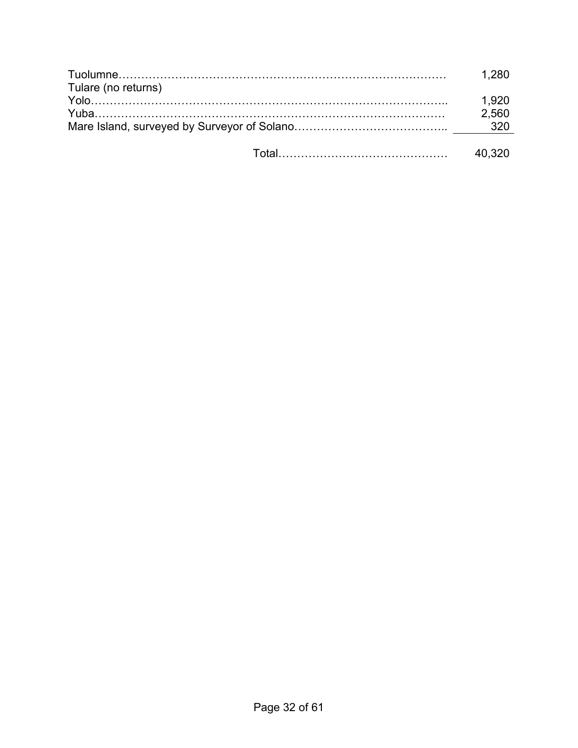|                     | 1 280  |
|---------------------|--------|
| Tulare (no returns) |        |
|                     | 1.920  |
|                     | 2.560  |
|                     |        |
|                     | 40,320 |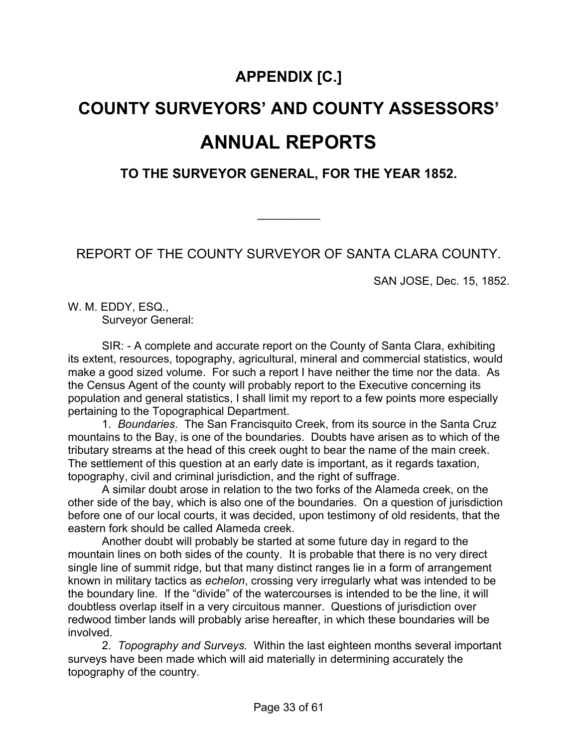# **APPENDIX [C.]**

# **COUNTY SURVEYORS' AND COUNTY ASSESSORS' ANNUAL REPORTS**

**TO THE SURVEYOR GENERAL, FOR THE YEAR 1852.**

REPORT OF THE COUNTY SURVEYOR OF SANTA CLARA COUNTY.

 $\frac{1}{2}$ 

SAN JOSE, Dec. 15, 1852.

W. M. EDDY, ESQ., Surveyor General:

SIR: - A complete and accurate report on the County of Santa Clara, exhibiting its extent, resources, topography, agricultural, mineral and commercial statistics, would make a good sized volume. For such a report I have neither the time nor the data. As the Census Agent of the county will probably report to the Executive concerning its population and general statistics, I shall limit my report to a few points more especially pertaining to the Topographical Department.

 1. *Boundaries*. The San Francisquito Creek, from its source in the Santa Cruz mountains to the Bay, is one of the boundaries. Doubts have arisen as to which of the tributary streams at the head of this creek ought to bear the name of the main creek. The settlement of this question at an early date is important, as it regards taxation, topography, civil and criminal jurisdiction, and the right of suffrage.

A similar doubt arose in relation to the two forks of the Alameda creek, on the other side of the bay, which is also one of the boundaries. On a question of jurisdiction before one of our local courts, it was decided, upon testimony of old residents, that the eastern fork should be called Alameda creek.

Another doubt will probably be started at some future day in regard to the mountain lines on both sides of the county. It is probable that there is no very direct single line of summit ridge, but that many distinct ranges lie in a form of arrangement known in military tactics as *echelon*, crossing very irregularly what was intended to be the boundary line. If the "divide" of the watercourses is intended to be the line, it will doubtless overlap itself in a very circuitous manner. Questions of jurisdiction over redwood timber lands will probably arise hereafter, in which these boundaries will be involved.

 2. *Topography and Surveys.* Within the last eighteen months several important surveys have been made which will aid materially in determining accurately the topography of the country.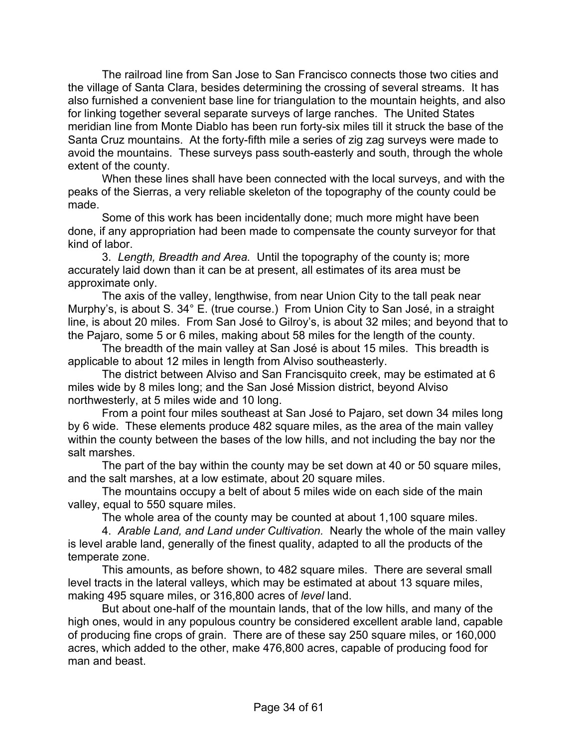The railroad line from San Jose to San Francisco connects those two cities and the village of Santa Clara, besides determining the crossing of several streams. It has also furnished a convenient base line for triangulation to the mountain heights, and also for linking together several separate surveys of large ranches. The United States meridian line from Monte Diablo has been run forty-six miles till it struck the base of the Santa Cruz mountains. At the forty-fifth mile a series of zig zag surveys were made to avoid the mountains. These surveys pass south-easterly and south, through the whole extent of the county.

When these lines shall have been connected with the local surveys, and with the peaks of the Sierras, a very reliable skeleton of the topography of the county could be made.

Some of this work has been incidentally done; much more might have been done, if any appropriation had been made to compensate the county surveyor for that kind of labor.

 3. *Length, Breadth and Area.* Until the topography of the county is; more accurately laid down than it can be at present, all estimates of its area must be approximate only.

The axis of the valley, lengthwise, from near Union City to the tall peak near Murphy's, is about S. 34° E. (true course.) From Union City to San José, in a straight line, is about 20 miles. From San José to Gilroy's, is about 32 miles; and beyond that to the Pajaro, some 5 or 6 miles, making about 58 miles for the length of the county.

The breadth of the main valley at San José is about 15 miles. This breadth is applicable to about 12 miles in length from Alviso southeasterly.

The district between Alviso and San Francisquito creek, may be estimated at 6 miles wide by 8 miles long; and the San José Mission district, beyond Alviso northwesterly, at 5 miles wide and 10 long.

From a point four miles southeast at San José to Pajaro, set down 34 miles long by 6 wide. These elements produce 482 square miles, as the area of the main valley within the county between the bases of the low hills, and not including the bay nor the salt marshes.

The part of the bay within the county may be set down at 40 or 50 square miles, and the salt marshes, at a low estimate, about 20 square miles.

The mountains occupy a belt of about 5 miles wide on each side of the main valley, equal to 550 square miles.

The whole area of the county may be counted at about 1,100 square miles.

 4. *Arable Land, and Land under Cultivation.* Nearly the whole of the main valley is level arable land, generally of the finest quality, adapted to all the products of the temperate zone.

This amounts, as before shown, to 482 square miles. There are several small level tracts in the lateral valleys, which may be estimated at about 13 square miles, making 495 square miles, or 316,800 acres of *level* land.

But about one-half of the mountain lands, that of the low hills, and many of the high ones, would in any populous country be considered excellent arable land, capable of producing fine crops of grain. There are of these say 250 square miles, or 160,000 acres, which added to the other, make 476,800 acres, capable of producing food for man and beast.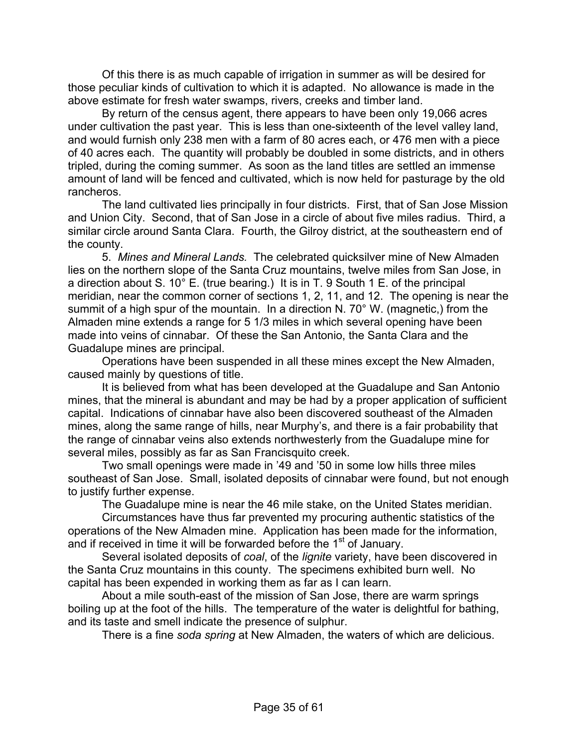Of this there is as much capable of irrigation in summer as will be desired for those peculiar kinds of cultivation to which it is adapted. No allowance is made in the above estimate for fresh water swamps, rivers, creeks and timber land.

By return of the census agent, there appears to have been only 19,066 acres under cultivation the past year. This is less than one-sixteenth of the level valley land, and would furnish only 238 men with a farm of 80 acres each, or 476 men with a piece of 40 acres each. The quantity will probably be doubled in some districts, and in others tripled, during the coming summer. As soon as the land titles are settled an immense amount of land will be fenced and cultivated, which is now held for pasturage by the old rancheros.

The land cultivated lies principally in four districts. First, that of San Jose Mission and Union City. Second, that of San Jose in a circle of about five miles radius. Third, a similar circle around Santa Clara. Fourth, the Gilroy district, at the southeastern end of the county.

 5. *Mines and Mineral Lands.* The celebrated quicksilver mine of New Almaden lies on the northern slope of the Santa Cruz mountains, twelve miles from San Jose, in a direction about S. 10° E. (true bearing.) It is in T. 9 South 1 E. of the principal meridian, near the common corner of sections 1, 2, 11, and 12. The opening is near the summit of a high spur of the mountain. In a direction N. 70° W. (magnetic,) from the Almaden mine extends a range for 5 1/3 miles in which several opening have been made into veins of cinnabar. Of these the San Antonio, the Santa Clara and the Guadalupe mines are principal.

Operations have been suspended in all these mines except the New Almaden, caused mainly by questions of title.

It is believed from what has been developed at the Guadalupe and San Antonio mines, that the mineral is abundant and may be had by a proper application of sufficient capital. Indications of cinnabar have also been discovered southeast of the Almaden mines, along the same range of hills, near Murphy's, and there is a fair probability that the range of cinnabar veins also extends northwesterly from the Guadalupe mine for several miles, possibly as far as San Francisquito creek.

Two small openings were made in '49 and '50 in some low hills three miles southeast of San Jose. Small, isolated deposits of cinnabar were found, but not enough to justify further expense.

The Guadalupe mine is near the 46 mile stake, on the United States meridian.

Circumstances have thus far prevented my procuring authentic statistics of the operations of the New Almaden mine. Application has been made for the information, and if received in time it will be forwarded before the 1<sup>st</sup> of January.

Several isolated deposits of *coal*, of the *lignite* variety, have been discovered in the Santa Cruz mountains in this county. The specimens exhibited burn well. No capital has been expended in working them as far as I can learn.

About a mile south-east of the mission of San Jose, there are warm springs boiling up at the foot of the hills. The temperature of the water is delightful for bathing, and its taste and smell indicate the presence of sulphur.

There is a fine *soda spring* at New Almaden, the waters of which are delicious.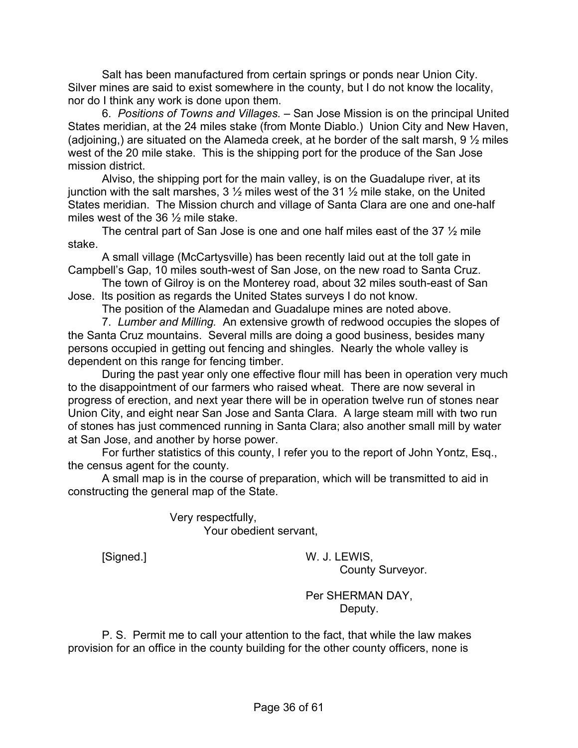Salt has been manufactured from certain springs or ponds near Union City. Silver mines are said to exist somewhere in the county, but I do not know the locality, nor do I think any work is done upon them.

 6. *Positions of Towns and Villages.* – San Jose Mission is on the principal United States meridian, at the 24 miles stake (from Monte Diablo.) Union City and New Haven, (adjoining,) are situated on the Alameda creek, at he border of the salt marsh, 9 ½ miles west of the 20 mile stake. This is the shipping port for the produce of the San Jose mission district.

Alviso, the shipping port for the main valley, is on the Guadalupe river, at its junction with the salt marshes,  $3\frac{1}{2}$  miles west of the 31  $\frac{1}{2}$  mile stake, on the United States meridian. The Mission church and village of Santa Clara are one and one-half miles west of the 36 ½ mile stake.

The central part of San Jose is one and one half miles east of the 37  $\frac{1}{2}$  mile stake.

A small village (McCartysville) has been recently laid out at the toll gate in Campbell's Gap, 10 miles south-west of San Jose, on the new road to Santa Cruz.

The town of Gilroy is on the Monterey road, about 32 miles south-east of San Jose. Its position as regards the United States surveys I do not know.

The position of the Alamedan and Guadalupe mines are noted above.

 7. *Lumber and Milling.* An extensive growth of redwood occupies the slopes of the Santa Cruz mountains. Several mills are doing a good business, besides many persons occupied in getting out fencing and shingles. Nearly the whole valley is dependent on this range for fencing timber.

During the past year only one effective flour mill has been in operation very much to the disappointment of our farmers who raised wheat. There are now several in progress of erection, and next year there will be in operation twelve run of stones near Union City, and eight near San Jose and Santa Clara. A large steam mill with two run of stones has just commenced running in Santa Clara; also another small mill by water at San Jose, and another by horse power.

For further statistics of this county, I refer you to the report of John Yontz, Esq., the census agent for the county.

A small map is in the course of preparation, which will be transmitted to aid in constructing the general map of the State.

> Very respectfully, Your obedient servant,

[Signed.] W. J. LEWIS, County Surveyor.

> Per SHERMAN DAY, Deputy.

P. S. Permit me to call your attention to the fact, that while the law makes provision for an office in the county building for the other county officers, none is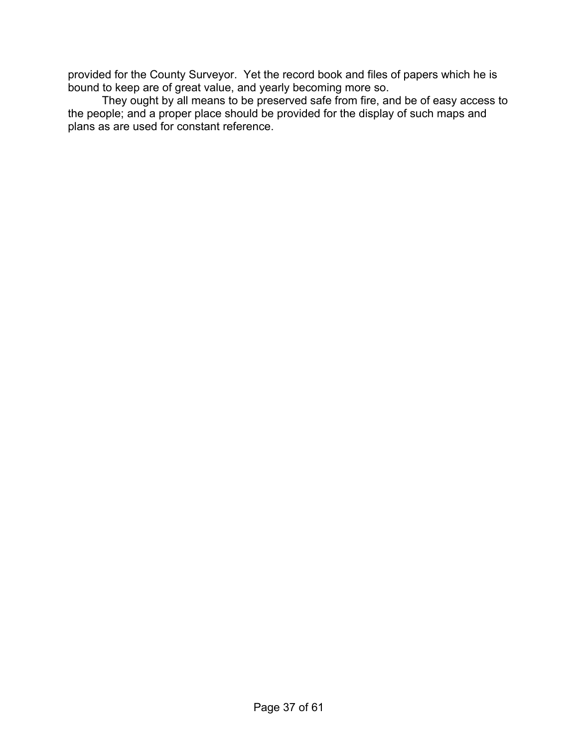provided for the County Surveyor. Yet the record book and files of papers which he is bound to keep are of great value, and yearly becoming more so.

They ought by all means to be preserved safe from fire, and be of easy access to the people; and a proper place should be provided for the display of such maps and plans as are used for constant reference.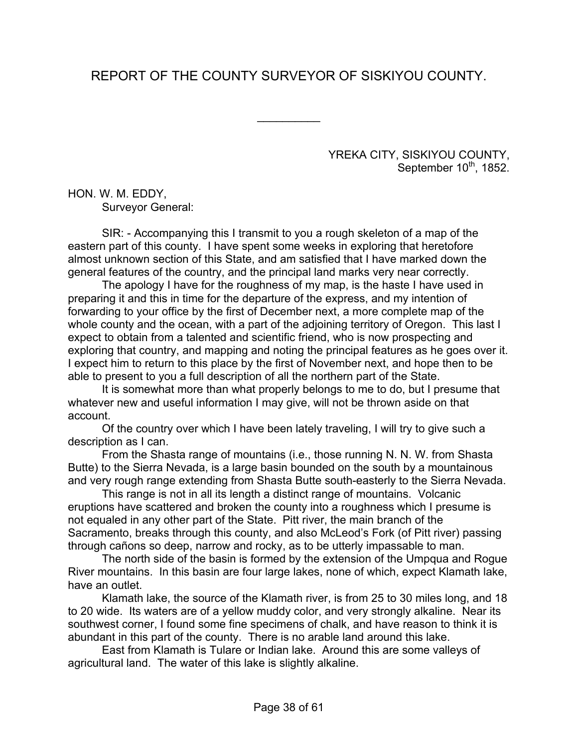# REPORT OF THE COUNTY SURVEYOR OF SISKIYOU COUNTY.

 $\frac{1}{2}$ 

YREKA CITY, SISKIYOU COUNTY, September 10<sup>th</sup>, 1852.

HON. W. M. EDDY, Surveyor General:

SIR: - Accompanying this I transmit to you a rough skeleton of a map of the eastern part of this county. I have spent some weeks in exploring that heretofore almost unknown section of this State, and am satisfied that I have marked down the general features of the country, and the principal land marks very near correctly.

The apology I have for the roughness of my map, is the haste I have used in preparing it and this in time for the departure of the express, and my intention of forwarding to your office by the first of December next, a more complete map of the whole county and the ocean, with a part of the adjoining territory of Oregon. This last I expect to obtain from a talented and scientific friend, who is now prospecting and exploring that country, and mapping and noting the principal features as he goes over it. I expect him to return to this place by the first of November next, and hope then to be able to present to you a full description of all the northern part of the State.

It is somewhat more than what properly belongs to me to do, but I presume that whatever new and useful information I may give, will not be thrown aside on that account.

Of the country over which I have been lately traveling, I will try to give such a description as I can.

From the Shasta range of mountains (i.e., those running N. N. W. from Shasta Butte) to the Sierra Nevada, is a large basin bounded on the south by a mountainous and very rough range extending from Shasta Butte south-easterly to the Sierra Nevada.

This range is not in all its length a distinct range of mountains. Volcanic eruptions have scattered and broken the county into a roughness which I presume is not equaled in any other part of the State. Pitt river, the main branch of the Sacramento, breaks through this county, and also McLeod's Fork (of Pitt river) passing through cañons so deep, narrow and rocky, as to be utterly impassable to man.

The north side of the basin is formed by the extension of the Umpqua and Rogue River mountains. In this basin are four large lakes, none of which, expect Klamath lake, have an outlet.

Klamath lake, the source of the Klamath river, is from 25 to 30 miles long, and 18 to 20 wide. Its waters are of a yellow muddy color, and very strongly alkaline. Near its southwest corner, I found some fine specimens of chalk, and have reason to think it is abundant in this part of the county. There is no arable land around this lake.

East from Klamath is Tulare or Indian lake. Around this are some valleys of agricultural land. The water of this lake is slightly alkaline.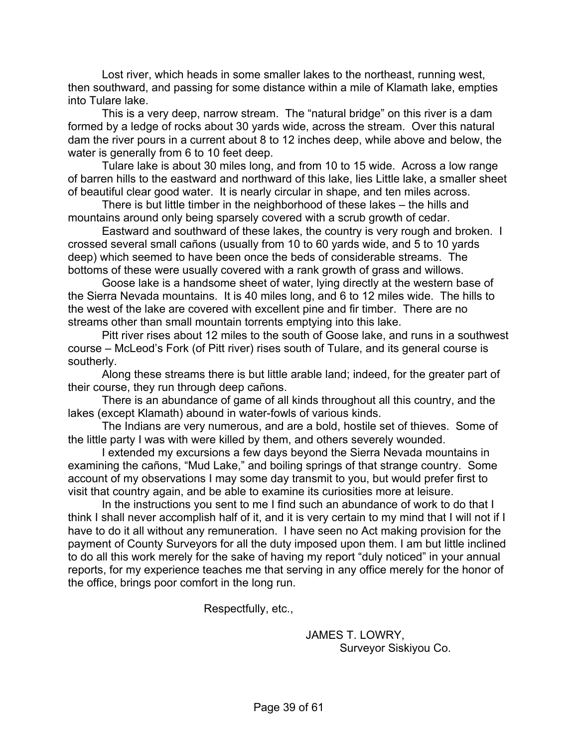Lost river, which heads in some smaller lakes to the northeast, running west, then southward, and passing for some distance within a mile of Klamath lake, empties into Tulare lake.

This is a very deep, narrow stream. The "natural bridge" on this river is a dam formed by a ledge of rocks about 30 yards wide, across the stream. Over this natural dam the river pours in a current about 8 to 12 inches deep, while above and below, the water is generally from 6 to 10 feet deep.

Tulare lake is about 30 miles long, and from 10 to 15 wide. Across a low range of barren hills to the eastward and northward of this lake, lies Little lake, a smaller sheet of beautiful clear good water. It is nearly circular in shape, and ten miles across.

There is but little timber in the neighborhood of these lakes – the hills and mountains around only being sparsely covered with a scrub growth of cedar.

Eastward and southward of these lakes, the country is very rough and broken. I crossed several small cañons (usually from 10 to 60 yards wide, and 5 to 10 yards deep) which seemed to have been once the beds of considerable streams. The bottoms of these were usually covered with a rank growth of grass and willows.

Goose lake is a handsome sheet of water, lying directly at the western base of the Sierra Nevada mountains. It is 40 miles long, and 6 to 12 miles wide. The hills to the west of the lake are covered with excellent pine and fir timber. There are no streams other than small mountain torrents emptying into this lake.

Pitt river rises about 12 miles to the south of Goose lake, and runs in a southwest course – McLeod's Fork (of Pitt river) rises south of Tulare, and its general course is southerly.

Along these streams there is but little arable land; indeed, for the greater part of their course, they run through deep cañons.

There is an abundance of game of all kinds throughout all this country, and the lakes (except Klamath) abound in water-fowls of various kinds.

The Indians are very numerous, and are a bold, hostile set of thieves. Some of the little party I was with were killed by them, and others severely wounded.

I extended my excursions a few days beyond the Sierra Nevada mountains in examining the cañons, "Mud Lake," and boiling springs of that strange country. Some account of my observations I may some day transmit to you, but would prefer first to visit that country again, and be able to examine its curiosities more at leisure.

In the instructions you sent to me I find such an abundance of work to do that I think I shall never accomplish half of it, and it is very certain to my mind that I will not if I have to do it all without any remuneration. I have seen no Act making provision for the payment of County Surveyors for all the duty imposed upon them. I am but little inclined to do all this work merely for the sake of having my report "duly noticed" in your annual reports, for my experience teaches me that serving in any office merely for the honor of the office, brings poor comfort in the long run.

Respectfully, etc.,

 JAMES T. LOWRY, Surveyor Siskiyou Co.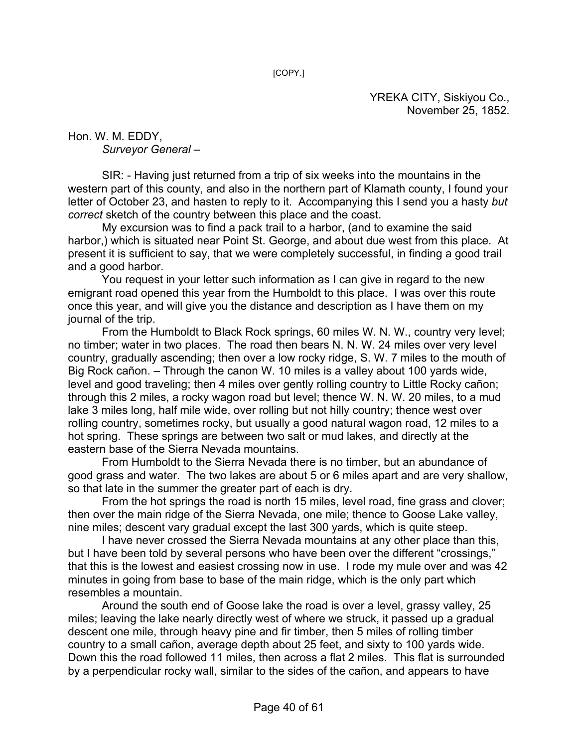[COPY.]

YREKA CITY, Siskiyou Co., November 25, 1852.

Hon. W. M. EDDY, *Surveyor General* –

SIR: - Having just returned from a trip of six weeks into the mountains in the western part of this county, and also in the northern part of Klamath county, I found your letter of October 23, and hasten to reply to it. Accompanying this I send you a hasty *but correct* sketch of the country between this place and the coast.

My excursion was to find a pack trail to a harbor, (and to examine the said harbor,) which is situated near Point St. George, and about due west from this place. At present it is sufficient to say, that we were completely successful, in finding a good trail and a good harbor.

You request in your letter such information as I can give in regard to the new emigrant road opened this year from the Humboldt to this place. I was over this route once this year, and will give you the distance and description as I have them on my journal of the trip.

From the Humboldt to Black Rock springs, 60 miles W. N. W., country very level; no timber; water in two places. The road then bears N. N. W. 24 miles over very level country, gradually ascending; then over a low rocky ridge, S. W. 7 miles to the mouth of Big Rock cañon. – Through the canon W. 10 miles is a valley about 100 yards wide, level and good traveling; then 4 miles over gently rolling country to Little Rocky cañon; through this 2 miles, a rocky wagon road but level; thence W. N. W. 20 miles, to a mud lake 3 miles long, half mile wide, over rolling but not hilly country; thence west over rolling country, sometimes rocky, but usually a good natural wagon road, 12 miles to a hot spring. These springs are between two salt or mud lakes, and directly at the eastern base of the Sierra Nevada mountains.

From Humboldt to the Sierra Nevada there is no timber, but an abundance of good grass and water. The two lakes are about 5 or 6 miles apart and are very shallow, so that late in the summer the greater part of each is dry.

From the hot springs the road is north 15 miles, level road, fine grass and clover; then over the main ridge of the Sierra Nevada, one mile; thence to Goose Lake valley, nine miles; descent vary gradual except the last 300 yards, which is quite steep.

I have never crossed the Sierra Nevada mountains at any other place than this, but I have been told by several persons who have been over the different "crossings," that this is the lowest and easiest crossing now in use. I rode my mule over and was 42 minutes in going from base to base of the main ridge, which is the only part which resembles a mountain.

Around the south end of Goose lake the road is over a level, grassy valley, 25 miles; leaving the lake nearly directly west of where we struck, it passed up a gradual descent one mile, through heavy pine and fir timber, then 5 miles of rolling timber country to a small cañon, average depth about 25 feet, and sixty to 100 yards wide. Down this the road followed 11 miles, then across a flat 2 miles. This flat is surrounded by a perpendicular rocky wall, similar to the sides of the cañon, and appears to have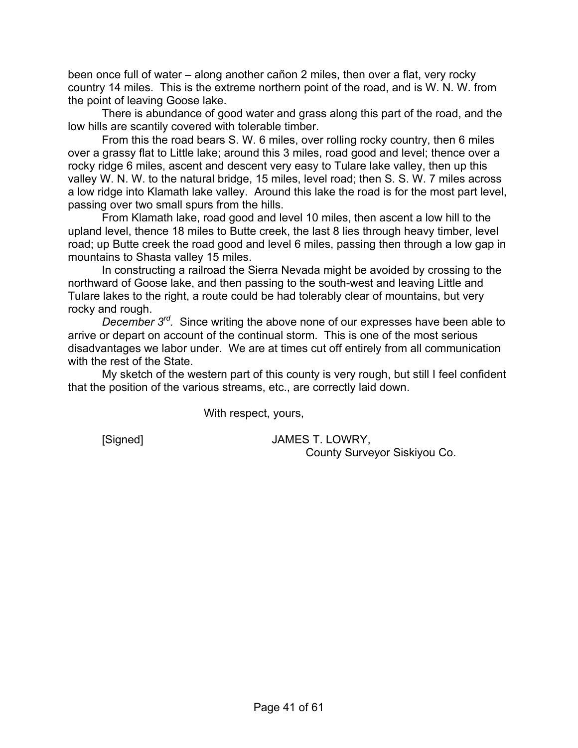been once full of water – along another cañon 2 miles, then over a flat, very rocky country 14 miles. This is the extreme northern point of the road, and is W. N. W. from the point of leaving Goose lake.

There is abundance of good water and grass along this part of the road, and the low hills are scantily covered with tolerable timber.

From this the road bears S. W. 6 miles, over rolling rocky country, then 6 miles over a grassy flat to Little lake; around this 3 miles, road good and level; thence over a rocky ridge 6 miles, ascent and descent very easy to Tulare lake valley, then up this valley W. N. W. to the natural bridge, 15 miles, level road; then S. S. W. 7 miles across a low ridge into Klamath lake valley. Around this lake the road is for the most part level, passing over two small spurs from the hills.

From Klamath lake, road good and level 10 miles, then ascent a low hill to the upland level, thence 18 miles to Butte creek, the last 8 lies through heavy timber, level road; up Butte creek the road good and level 6 miles, passing then through a low gap in mountains to Shasta valley 15 miles.

In constructing a railroad the Sierra Nevada might be avoided by crossing to the northward of Goose lake, and then passing to the south-west and leaving Little and Tulare lakes to the right, a route could be had tolerably clear of mountains, but very rocky and rough.

*December 3rd.* Since writing the above none of our expresses have been able to arrive or depart on account of the continual storm. This is one of the most serious disadvantages we labor under. We are at times cut off entirely from all communication with the rest of the State.

My sketch of the western part of this county is very rough, but still I feel confident that the position of the various streams, etc., are correctly laid down.

With respect, yours,

 [Signed] JAMES T. LOWRY, County Surveyor Siskiyou Co.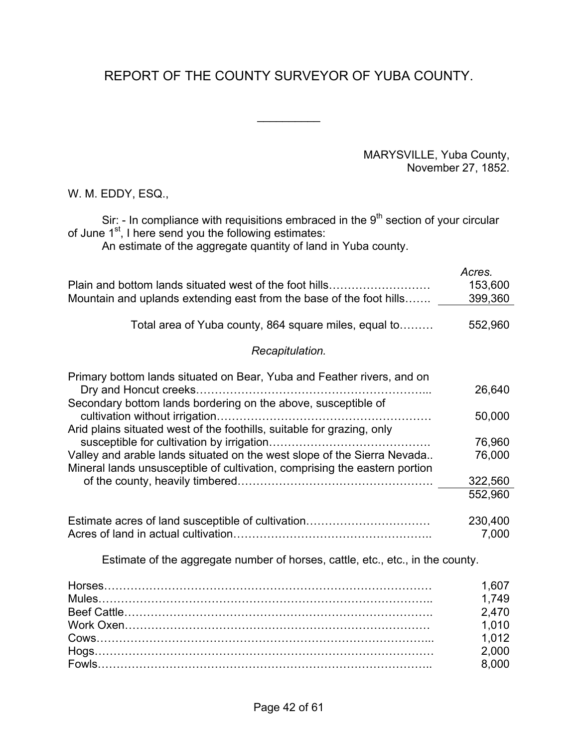# REPORT OF THE COUNTY SURVEYOR OF YUBA COUNTY.

 $\frac{1}{2}$ 

MARYSVILLE, Yuba County, November 27, 1852.

W. M. EDDY, ESQ.,

Sir: - In compliance with requisitions embraced in the  $9<sup>th</sup>$  section of your circular of June 1<sup>st</sup>, I here send you the following estimates:

An estimate of the aggregate quantity of land in Yuba county.

|                                                                                | Acres.  |
|--------------------------------------------------------------------------------|---------|
| Plain and bottom lands situated west of the foot hills                         | 153,600 |
| Mountain and uplands extending east from the base of the foot hills            | 399,360 |
|                                                                                |         |
| Total area of Yuba county, 864 square miles, equal to                          | 552,960 |
| Recapitulation.                                                                |         |
| Primary bottom lands situated on Bear, Yuba and Feather rivers, and on         |         |
|                                                                                | 26,640  |
| Secondary bottom lands bordering on the above, susceptible of                  |         |
|                                                                                | 50,000  |
| Arid plains situated west of the foothills, suitable for grazing, only         |         |
|                                                                                | 76,960  |
| Valley and arable lands situated on the west slope of the Sierra Nevada        | 76,000  |
| Mineral lands unsusceptible of cultivation, comprising the eastern portion     | 322,560 |
|                                                                                | 552,960 |
|                                                                                |         |
| Estimate acres of land susceptible of cultivation                              | 230,400 |
|                                                                                | 7,000   |
|                                                                                |         |
| Estimate of the aggregate number of horses, cattle, etc., etc., in the county. |         |
|                                                                                | 1,607   |
|                                                                                | 1,749   |
|                                                                                | 2,470   |
|                                                                                | 1,010   |
|                                                                                | 1,012   |
|                                                                                | 2,000   |
|                                                                                | 8,000   |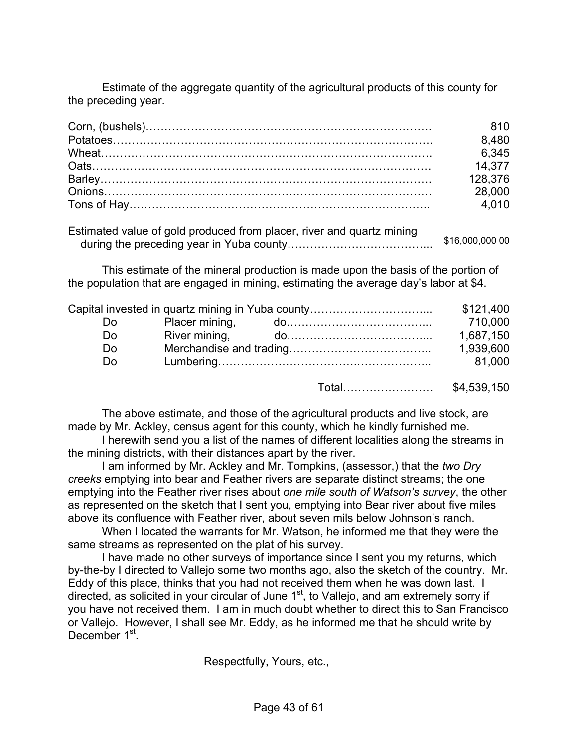Estimate of the aggregate quantity of the agricultural products of this county for the preceding year.

| 810     |
|---------|
| 8,480   |
| 6,345   |
| 14,377  |
| 128,376 |
| 28,000  |
| 4.010   |

| Estimated value of gold produced from placer, river and quartz mining |                 |
|-----------------------------------------------------------------------|-----------------|
|                                                                       | \$16,000,000 00 |

This estimate of the mineral production is made upon the basis of the portion of the population that are engaged in mining, estimating the average day's labor at \$4.

|    | Capital invested in quartz mining in Yuba county | \$121,400 |
|----|--------------------------------------------------|-----------|
| Do |                                                  | 710,000   |
| Do |                                                  | 1,687,150 |
| Do |                                                  | 1,939,600 |
| Do |                                                  | 81,000    |
|    |                                                  |           |

Total…………………… \$4,539,150

The above estimate, and those of the agricultural products and live stock, are made by Mr. Ackley, census agent for this county, which he kindly furnished me.

I herewith send you a list of the names of different localities along the streams in the mining districts, with their distances apart by the river.

I am informed by Mr. Ackley and Mr. Tompkins, (assessor,) that the *two Dry creeks* emptying into bear and Feather rivers are separate distinct streams; the one emptying into the Feather river rises about *one mile south of Watson's survey*, the other as represented on the sketch that I sent you, emptying into Bear river about five miles above its confluence with Feather river, about seven mils below Johnson's ranch.

When I located the warrants for Mr. Watson, he informed me that they were the same streams as represented on the plat of his survey.

I have made no other surveys of importance since I sent you my returns, which by-the-by I directed to Vallejo some two months ago, also the sketch of the country. Mr. Eddy of this place, thinks that you had not received them when he was down last. I directed, as solicited in your circular of June  $1<sup>st</sup>$ , to Vallejo, and am extremely sorry if you have not received them. I am in much doubt whether to direct this to San Francisco or Vallejo. However, I shall see Mr. Eddy, as he informed me that he should write by December 1<sup>st</sup>.

Respectfully, Yours, etc.,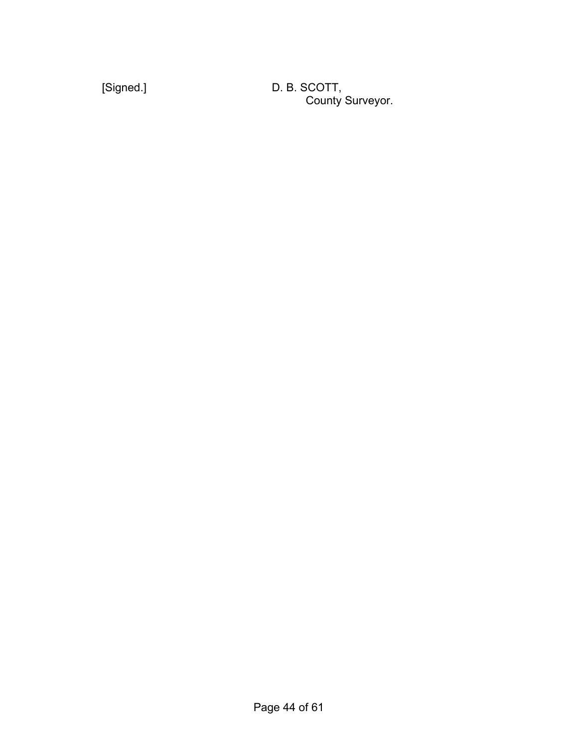[Signed.] D. B. SCOTT, **County Surveyor.** County Surveyor.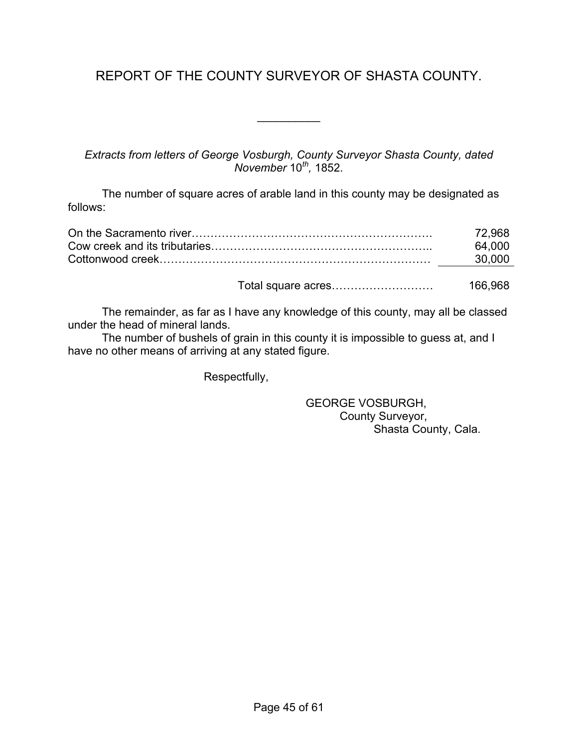# REPORT OF THE COUNTY SURVEYOR OF SHASTA COUNTY.

 $\frac{1}{2}$ 

*Extracts from letters of George Vosburgh, County Surveyor Shasta County, dated November* 10*th,* 1852.

The number of square acres of arable land in this county may be designated as follows:

| 72.968 |
|--------|
| 64.000 |
| 30.000 |
|        |

Total square acres……………………… 166,968

The remainder, as far as I have any knowledge of this county, may all be classed under the head of mineral lands.

The number of bushels of grain in this county it is impossible to guess at, and I have no other means of arriving at any stated figure.

Respectfully,

 GEORGE VOSBURGH, County Surveyor, Shasta County, Cala.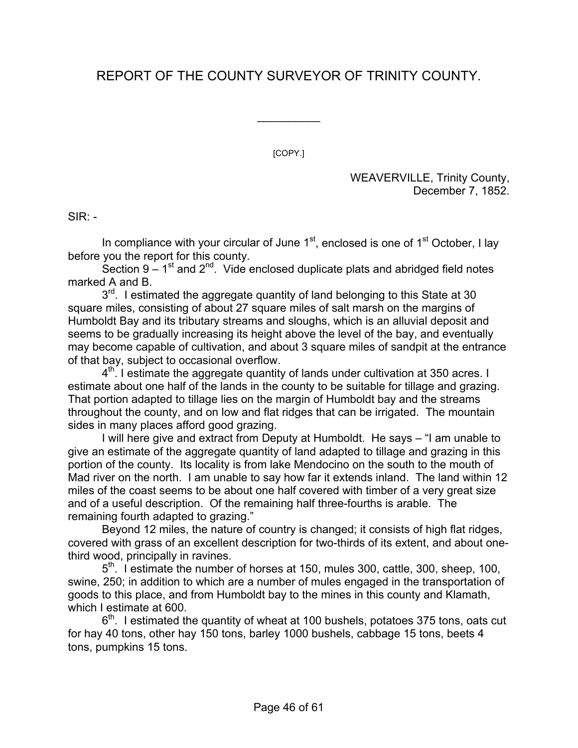# REPORT OF THE COUNTY SURVEYOR OF TRINITY COUNTY.

 $\frac{1}{2}$ 

[COPY.]

WEAVERVILLE, Trinity County, December 7, 1852.

 $SIR: -$ 

In compliance with your circular of June  $1<sup>st</sup>$ , enclosed is one of  $1<sup>st</sup>$  October, I lay before you the report for this county.

Section  $9 - 1$ <sup>st</sup> and  $2^{nd}$ . Vide enclosed duplicate plats and abridged field notes marked A and B.

3<sup>rd</sup>. I estimated the aggregate quantity of land belonging to this State at 30 square miles, consisting of about 27 square miles of salt marsh on the margins of Humboldt Bay and its tributary streams and sloughs, which is an alluvial deposit and seems to be gradually increasing its height above the level of the bay, and eventually may become capable of cultivation, and about 3 square miles of sandpit at the entrance of that bay, subject to occasional overflow.

 $4<sup>th</sup>$ . I estimate the aggregate quantity of lands under cultivation at 350 acres. I estimate about one half of the lands in the county to be suitable for tillage and grazing. That portion adapted to tillage lies on the margin of Humboldt bay and the streams throughout the county, and on low and flat ridges that can be irrigated. The mountain sides in many places afford good grazing.

I will here give and extract from Deputy at Humboldt. He says – "I am unable to give an estimate of the aggregate quantity of land adapted to tillage and grazing in this portion of the county. Its locality is from lake Mendocino on the south to the mouth of Mad river on the north. I am unable to say how far it extends inland. The land within 12 miles of the coast seems to be about one half covered with timber of a very great size and of a useful description. Of the remaining half three-fourths is arable. The remaining fourth adapted to grazing."

Beyond 12 miles, the nature of country is changed; it consists of high flat ridges, covered with grass of an excellent description for two-thirds of its extent, and about onethird wood, principally in ravines.

 $5<sup>th</sup>$ . I estimate the number of horses at 150, mules 300, cattle, 300, sheep, 100, swine, 250; in addition to which are a number of mules engaged in the transportation of goods to this place, and from Humboldt bay to the mines in this county and Klamath, which I estimate at 600.

 $6<sup>th</sup>$ . I estimated the quantity of wheat at 100 bushels, potatoes 375 tons, oats cut for hay 40 tons, other hay 150 tons, barley 1000 bushels, cabbage 15 tons, beets 4 tons, pumpkins 15 tons.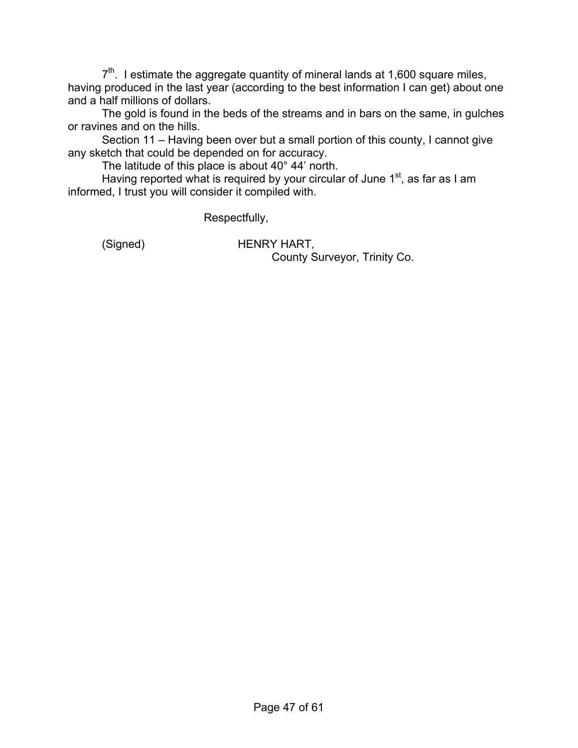$7<sup>th</sup>$ . I estimate the aggregate quantity of mineral lands at 1,600 square miles, having produced in the last year (according to the best information I can get) about one and a half millions of dollars.

The gold is found in the beds of the streams and in bars on the same, in gulches or ravines and on the hills.

Section 11 – Having been over but a small portion of this county, I cannot give any sketch that could be depended on for accuracy.

The latitude of this place is about 40° 44' north.

Having reported what is required by your circular of June  $1<sup>st</sup>$ , as far as I am informed, I trust you will consider it compiled with.

Respectfully,

 (Signed) HENRY HART, County Surveyor, Trinity Co.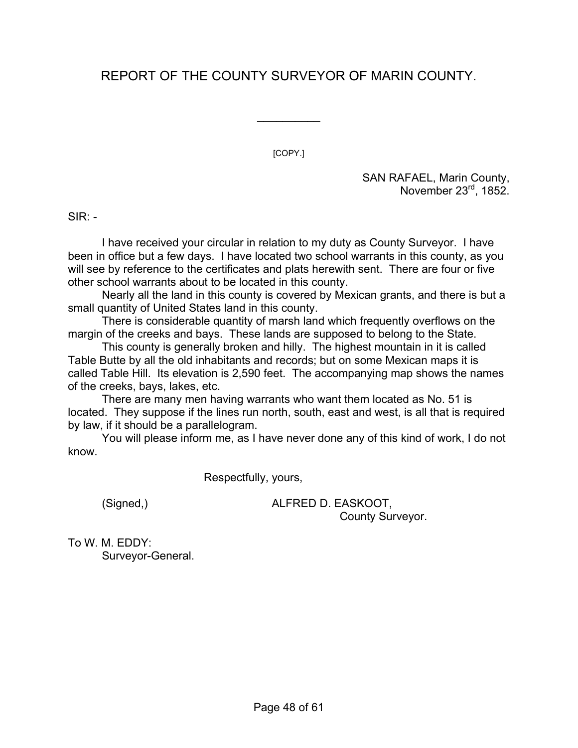# REPORT OF THE COUNTY SURVEYOR OF MARIN COUNTY.

 $\frac{1}{2}$ 

[COPY.]

SAN RAFAEL, Marin County, November 23<sup>rd</sup>, 1852.

 $SIR: -$ 

I have received your circular in relation to my duty as County Surveyor. I have been in office but a few days. I have located two school warrants in this county, as you will see by reference to the certificates and plats herewith sent. There are four or five other school warrants about to be located in this county.

Nearly all the land in this county is covered by Mexican grants, and there is but a small quantity of United States land in this county.

There is considerable quantity of marsh land which frequently overflows on the margin of the creeks and bays. These lands are supposed to belong to the State.

This county is generally broken and hilly. The highest mountain in it is called Table Butte by all the old inhabitants and records; but on some Mexican maps it is called Table Hill. Its elevation is 2,590 feet. The accompanying map shows the names of the creeks, bays, lakes, etc.

There are many men having warrants who want them located as No. 51 is located. They suppose if the lines run north, south, east and west, is all that is required by law, if it should be a parallelogram.

You will please inform me, as I have never done any of this kind of work, I do not know.

Respectfully, yours,

 (Signed,) ALFRED D. EASKOOT, County Surveyor.

To W. M. EDDY: Surveyor-General.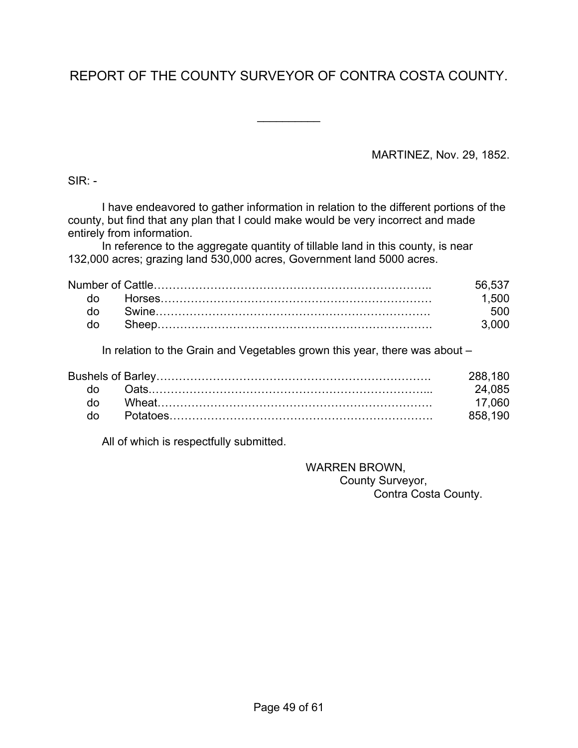# REPORT OF THE COUNTY SURVEYOR OF CONTRA COSTA COUNTY.

 $\frac{1}{2}$ 

MARTINEZ, Nov. 29, 1852.

 $SIR: -$ 

I have endeavored to gather information in relation to the different portions of the county, but find that any plan that I could make would be very incorrect and made entirely from information.

In reference to the aggregate quantity of tillable land in this county, is near 132,000 acres; grazing land 530,000 acres, Government land 5000 acres.

|     | 56.537 |
|-----|--------|
| do. | 1.500  |
|     | 500    |
| do  | 3.000  |

In relation to the Grain and Vegetables grown this year, there was about –

|    | 288 180 |
|----|---------|
|    | 24 085  |
| do | 17 060  |
| do | 858 190 |

All of which is respectfully submitted.

 WARREN BROWN, County Surveyor, Contra Costa County.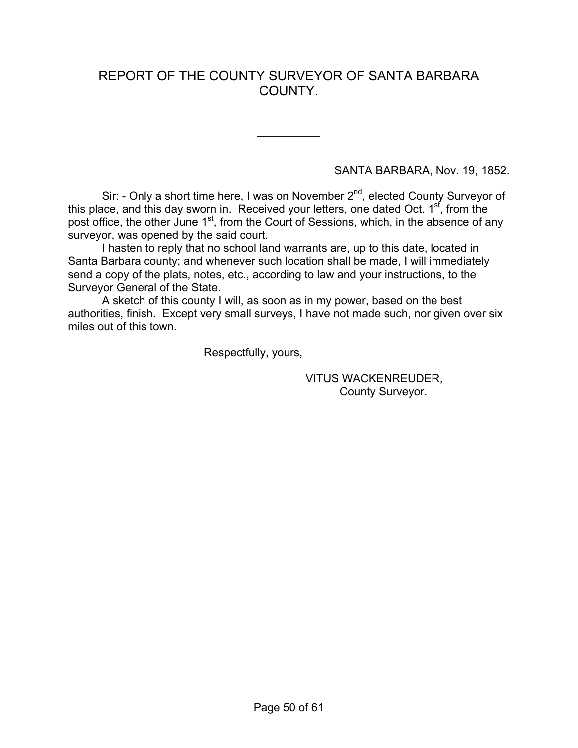## REPORT OF THE COUNTY SURVEYOR OF SANTA BARBARA COUNTY.

 $\frac{1}{2}$ 

SANTA BARBARA, Nov. 19, 1852.

Sir: - Only a short time here, I was on November 2<sup>nd</sup>, elected County Surveyor of this place, and this day sworn in. Received your letters, one dated Oct.  $1<sup>st</sup>$ , from the post office, the other June 1<sup>st</sup>, from the Court of Sessions, which, in the absence of any surveyor, was opened by the said court.

I hasten to reply that no school land warrants are, up to this date, located in Santa Barbara county; and whenever such location shall be made, I will immediately send a copy of the plats, notes, etc., according to law and your instructions, to the Surveyor General of the State.

A sketch of this county I will, as soon as in my power, based on the best authorities, finish. Except very small surveys, I have not made such, nor given over six miles out of this town.

Respectfully, yours,

 VITUS WACKENREUDER, County Surveyor.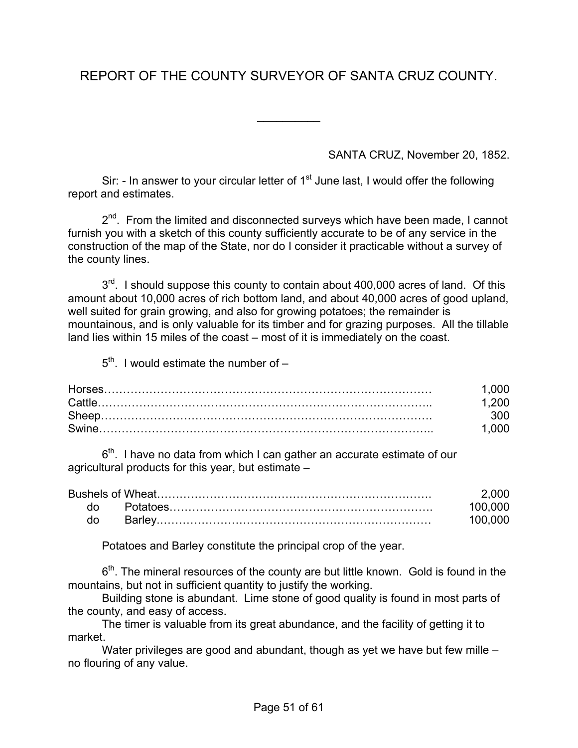# REPORT OF THE COUNTY SURVEYOR OF SANTA CRUZ COUNTY.

 $\frac{1}{2}$ 

SANTA CRUZ, November 20, 1852.

Sir: - In answer to your circular letter of  $1<sup>st</sup>$  June last, I would offer the following report and estimates.

2<sup>nd</sup>. From the limited and disconnected surveys which have been made, I cannot furnish you with a sketch of this county sufficiently accurate to be of any service in the construction of the map of the State, nor do I consider it practicable without a survey of the county lines.

 $3<sup>rd</sup>$ . I should suppose this county to contain about 400,000 acres of land. Of this amount about 10,000 acres of rich bottom land, and about 40,000 acres of good upland, well suited for grain growing, and also for growing potatoes; the remainder is mountainous, and is only valuable for its timber and for grazing purposes. All the tillable land lies within 15 miles of the coast – most of it is immediately on the coast.

 $5<sup>th</sup>$ . I would estimate the number of  $-$ 

| .000  |
|-------|
| -200  |
| 300   |
| 1.000 |

 $6<sup>th</sup>$ . I have no data from which I can gather an accurate estimate of our agricultural products for this year, but estimate –

|  | 2.000   |
|--|---------|
|  | 100.000 |
|  | 100.000 |

Potatoes and Barley constitute the principal crop of the year.

 $6<sup>th</sup>$ . The mineral resources of the county are but little known. Gold is found in the mountains, but not in sufficient quantity to justify the working.

Building stone is abundant. Lime stone of good quality is found in most parts of the county, and easy of access.

The timer is valuable from its great abundance, and the facility of getting it to market.

Water privileges are good and abundant, though as yet we have but few mille – no flouring of any value.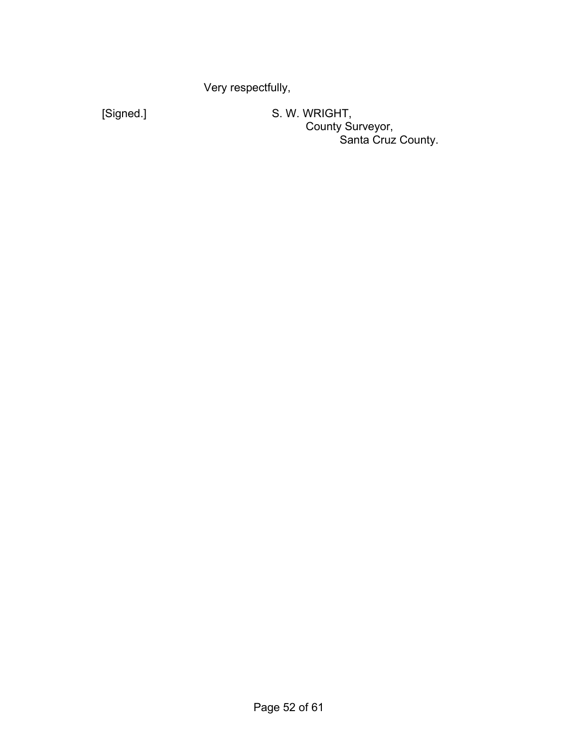Very respectfully,

 [Signed.] S. W. WRIGHT, **County Surveyor,** Santa Cruz County.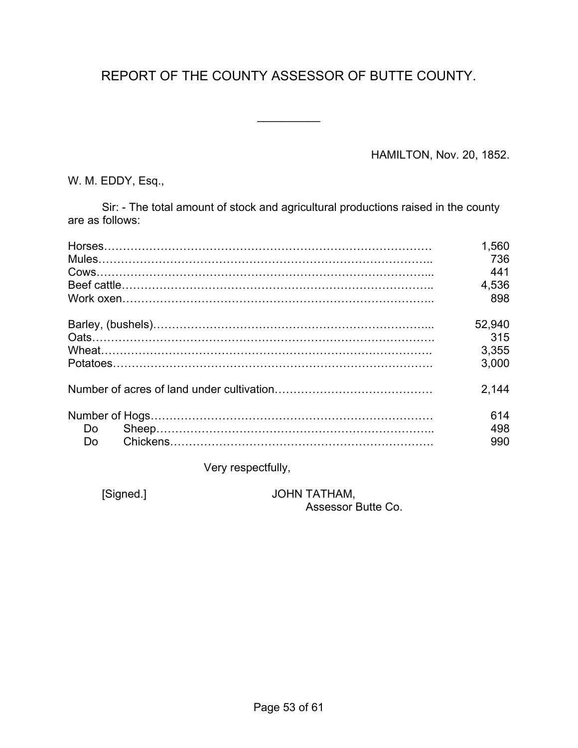# REPORT OF THE COUNTY ASSESSOR OF BUTTE COUNTY.

 $\frac{1}{2}$ 

HAMILTON, Nov. 20, 1852.

W. M. EDDY, Esq.,

Sir: - The total amount of stock and agricultural productions raised in the county are as follows:

|     | 1,560      |
|-----|------------|
|     | 736<br>441 |
|     | 4,536      |
|     | 898        |
|     | 52,940     |
|     | 315        |
|     | 3,355      |
|     | 3.000      |
|     | 2.144      |
|     | 614        |
| Do. | 498        |
| Do  | 990        |

Very respectfully,

 [Signed.] JOHN TATHAM, Assessor Butte Co.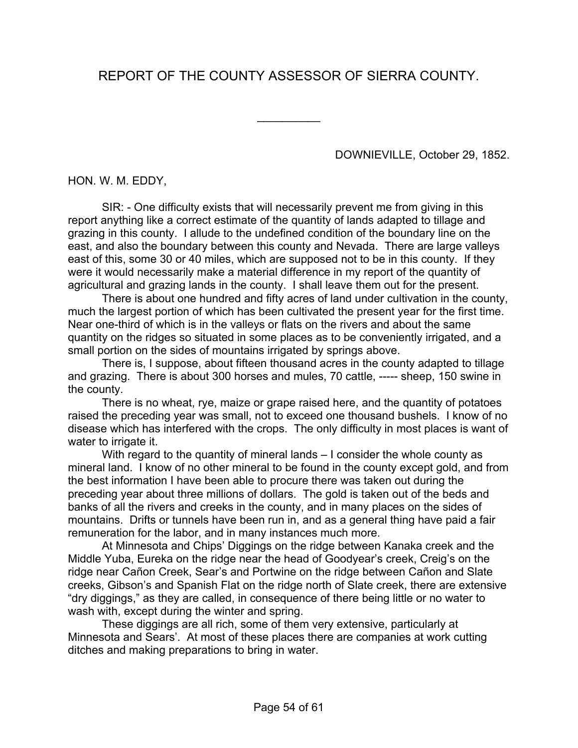# REPORT OF THE COUNTY ASSESSOR OF SIERRA COUNTY.

 $\frac{1}{2}$ 

DOWNIEVILLE, October 29, 1852.

HON. W. M. EDDY,

SIR: - One difficulty exists that will necessarily prevent me from giving in this report anything like a correct estimate of the quantity of lands adapted to tillage and grazing in this county. I allude to the undefined condition of the boundary line on the east, and also the boundary between this county and Nevada. There are large valleys east of this, some 30 or 40 miles, which are supposed not to be in this county. If they were it would necessarily make a material difference in my report of the quantity of agricultural and grazing lands in the county. I shall leave them out for the present.

There is about one hundred and fifty acres of land under cultivation in the county, much the largest portion of which has been cultivated the present year for the first time. Near one-third of which is in the valleys or flats on the rivers and about the same quantity on the ridges so situated in some places as to be conveniently irrigated, and a small portion on the sides of mountains irrigated by springs above.

There is, I suppose, about fifteen thousand acres in the county adapted to tillage and grazing. There is about 300 horses and mules, 70 cattle, ----- sheep, 150 swine in the county.

There is no wheat, rye, maize or grape raised here, and the quantity of potatoes raised the preceding year was small, not to exceed one thousand bushels. I know of no disease which has interfered with the crops. The only difficulty in most places is want of water to irrigate it.

With regard to the quantity of mineral lands – I consider the whole county as mineral land. I know of no other mineral to be found in the county except gold, and from the best information I have been able to procure there was taken out during the preceding year about three millions of dollars. The gold is taken out of the beds and banks of all the rivers and creeks in the county, and in many places on the sides of mountains. Drifts or tunnels have been run in, and as a general thing have paid a fair remuneration for the labor, and in many instances much more.

At Minnesota and Chips' Diggings on the ridge between Kanaka creek and the Middle Yuba, Eureka on the ridge near the head of Goodyear's creek, Creig's on the ridge near Cañon Creek, Sear's and Portwine on the ridge between Cañon and Slate creeks, Gibson's and Spanish Flat on the ridge north of Slate creek, there are extensive "dry diggings," as they are called, in consequence of there being little or no water to wash with, except during the winter and spring.

These diggings are all rich, some of them very extensive, particularly at Minnesota and Sears'. At most of these places there are companies at work cutting ditches and making preparations to bring in water.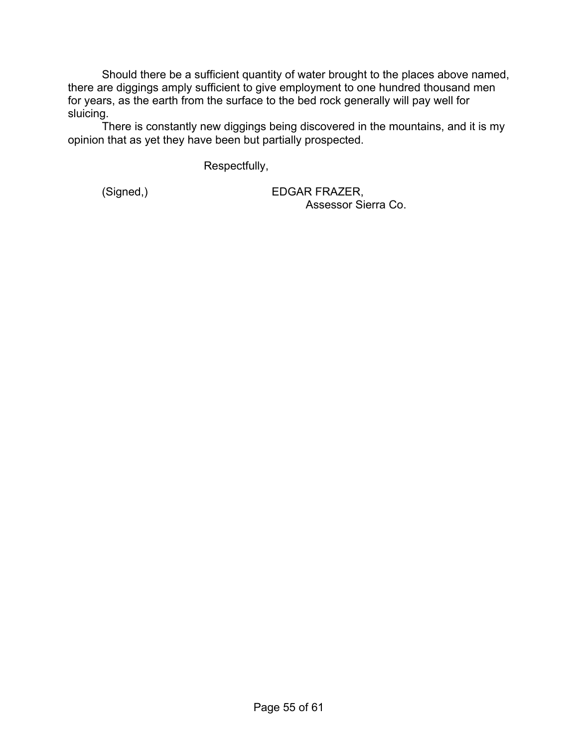Should there be a sufficient quantity of water brought to the places above named, there are diggings amply sufficient to give employment to one hundred thousand men for years, as the earth from the surface to the bed rock generally will pay well for sluicing.

There is constantly new diggings being discovered in the mountains, and it is my opinion that as yet they have been but partially prospected.

Respectfully,

 (Signed,) EDGAR FRAZER, Assessor Sierra Co.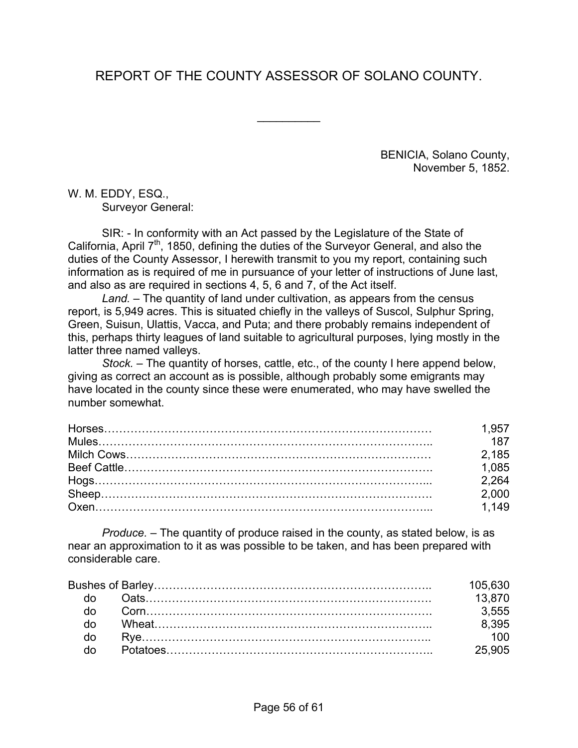# REPORT OF THE COUNTY ASSESSOR OF SOLANO COUNTY.

 $\frac{1}{2}$ 

BENICIA, Solano County, November 5, 1852.

W. M. EDDY, ESQ., Surveyor General:

SIR: - In conformity with an Act passed by the Legislature of the State of California, April 7<sup>th</sup>, 1850, defining the duties of the Surveyor General, and also the duties of the County Assessor, I herewith transmit to you my report, containing such information as is required of me in pursuance of your letter of instructions of June last, and also as are required in sections 4, 5, 6 and 7, of the Act itself.

*Land.* – The quantity of land under cultivation, as appears from the census report, is 5,949 acres. This is situated chiefly in the valleys of Suscol, Sulphur Spring, Green, Suisun, Ulattis, Vacca, and Puta; and there probably remains independent of this, perhaps thirty leagues of land suitable to agricultural purposes, lying mostly in the latter three named valleys.

*Stock.* – The quantity of horses, cattle, etc., of the county I here append below, giving as correct an account as is possible, although probably some emigrants may have located in the county since these were enumerated, who may have swelled the number somewhat.

| 1.957             |
|-------------------|
| 187               |
| 2.185             |
| 1,085             |
| 2.264             |
| 2,000             |
| $\frac{1}{1.149}$ |

*Produce.* – The quantity of produce raised in the county, as stated below, is as near an approximation to it as was possible to be taken, and has been prepared with considerable care.

| 105.630 |
|---------|
| 13870   |
| 3555    |
| 8.395   |
| 100     |
| 25.905  |
|         |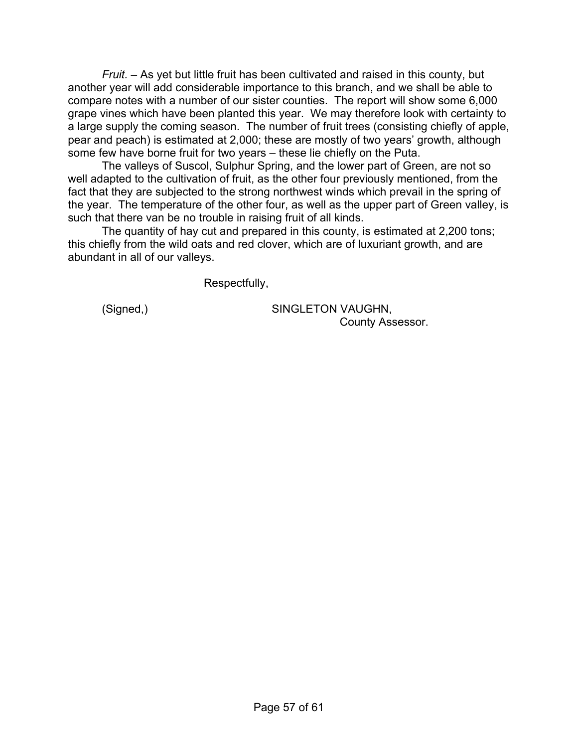*Fruit.* – As yet but little fruit has been cultivated and raised in this county, but another year will add considerable importance to this branch, and we shall be able to compare notes with a number of our sister counties. The report will show some 6,000 grape vines which have been planted this year. We may therefore look with certainty to a large supply the coming season. The number of fruit trees (consisting chiefly of apple, pear and peach) is estimated at 2,000; these are mostly of two years' growth, although some few have borne fruit for two years – these lie chiefly on the Puta.

The valleys of Suscol, Sulphur Spring, and the lower part of Green, are not so well adapted to the cultivation of fruit, as the other four previously mentioned, from the fact that they are subjected to the strong northwest winds which prevail in the spring of the year. The temperature of the other four, as well as the upper part of Green valley, is such that there van be no trouble in raising fruit of all kinds.

The quantity of hay cut and prepared in this county, is estimated at 2,200 tons; this chiefly from the wild oats and red clover, which are of luxuriant growth, and are abundant in all of our valleys.

Respectfully,

 (Signed,) SINGLETON VAUGHN, County Assessor.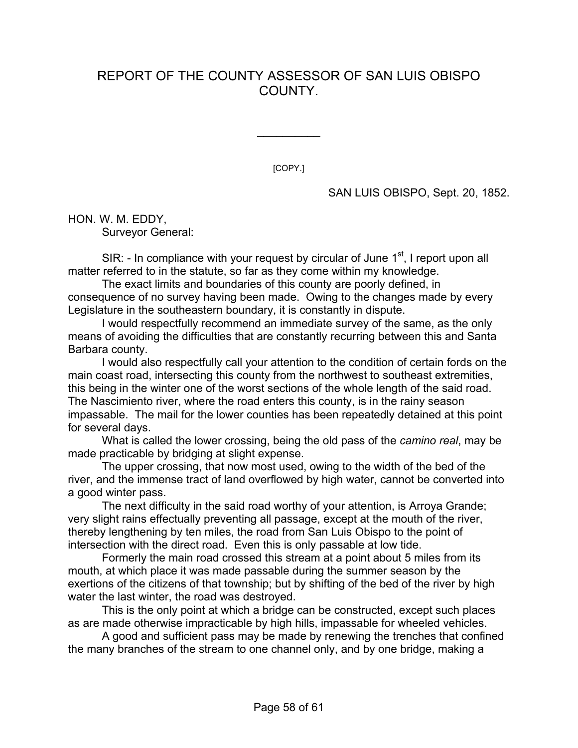## REPORT OF THE COUNTY ASSESSOR OF SAN LUIS OBISPO COUNTY.

[COPY.]

 $\frac{1}{2}$ 

SAN LUIS OBISPO, Sept. 20, 1852.

HON. W. M. EDDY, Surveyor General:

SIR:  $\sim$  In compliance with your request by circular of June 1<sup>st</sup>, I report upon all matter referred to in the statute, so far as they come within my knowledge.

The exact limits and boundaries of this county are poorly defined, in consequence of no survey having been made. Owing to the changes made by every Legislature in the southeastern boundary, it is constantly in dispute.

I would respectfully recommend an immediate survey of the same, as the only means of avoiding the difficulties that are constantly recurring between this and Santa Barbara county.

I would also respectfully call your attention to the condition of certain fords on the main coast road, intersecting this county from the northwest to southeast extremities, this being in the winter one of the worst sections of the whole length of the said road. The Nascimiento river, where the road enters this county, is in the rainy season impassable. The mail for the lower counties has been repeatedly detained at this point for several days.

What is called the lower crossing, being the old pass of the *camino real*, may be made practicable by bridging at slight expense.

The upper crossing, that now most used, owing to the width of the bed of the river, and the immense tract of land overflowed by high water, cannot be converted into a good winter pass.

The next difficulty in the said road worthy of your attention, is Arroya Grande; very slight rains effectually preventing all passage, except at the mouth of the river, thereby lengthening by ten miles, the road from San Luis Obispo to the point of intersection with the direct road. Even this is only passable at low tide.

Formerly the main road crossed this stream at a point about 5 miles from its mouth, at which place it was made passable during the summer season by the exertions of the citizens of that township; but by shifting of the bed of the river by high water the last winter, the road was destroyed.

This is the only point at which a bridge can be constructed, except such places as are made otherwise impracticable by high hills, impassable for wheeled vehicles.

A good and sufficient pass may be made by renewing the trenches that confined the many branches of the stream to one channel only, and by one bridge, making a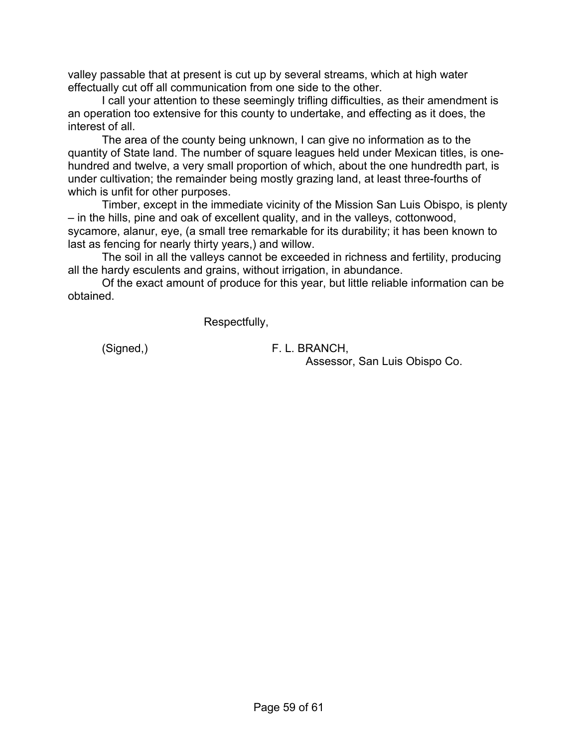valley passable that at present is cut up by several streams, which at high water effectually cut off all communication from one side to the other.

I call your attention to these seemingly trifling difficulties, as their amendment is an operation too extensive for this county to undertake, and effecting as it does, the interest of all.

The area of the county being unknown, I can give no information as to the quantity of State land. The number of square leagues held under Mexican titles, is onehundred and twelve, a very small proportion of which, about the one hundredth part, is under cultivation; the remainder being mostly grazing land, at least three-fourths of which is unfit for other purposes.

Timber, except in the immediate vicinity of the Mission San Luis Obispo, is plenty – in the hills, pine and oak of excellent quality, and in the valleys, cottonwood, sycamore, alanur, eye, (a small tree remarkable for its durability; it has been known to last as fencing for nearly thirty years,) and willow.

The soil in all the valleys cannot be exceeded in richness and fertility, producing all the hardy esculents and grains, without irrigation, in abundance.

Of the exact amount of produce for this year, but little reliable information can be obtained.

Respectfully,

(Signed,) F. L. BRANCH,

Assessor, San Luis Obispo Co.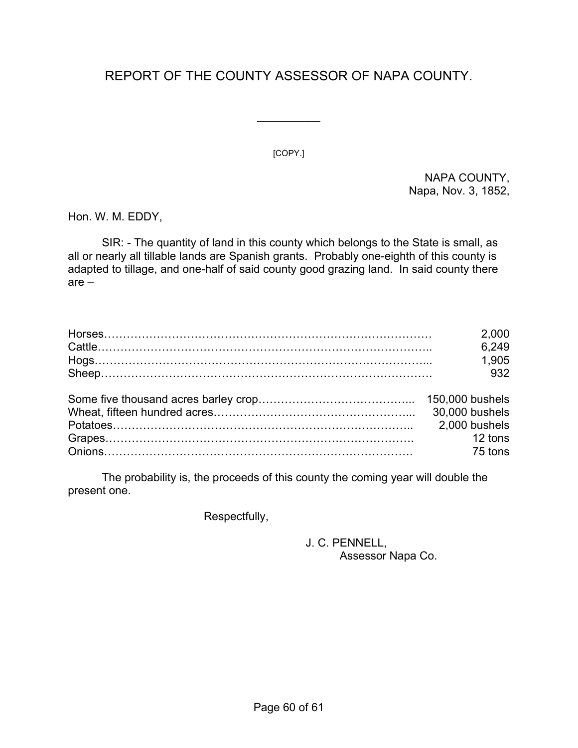# REPORT OF THE COUNTY ASSESSOR OF NAPA COUNTY.

 $\frac{1}{2}$ 

[COPY.]

NAPA COUNTY, Napa, Nov. 3, 1852,

Hon. W. M. EDDY,

SIR: - The quantity of land in this county which belongs to the State is small, as all or nearly all tillable lands are Spanish grants. Probably one-eighth of this county is adapted to tillage, and one-half of said county good grazing land. In said county there are –

| 2,000         |
|---------------|
| 6,249         |
| 1.905         |
| 932           |
|               |
|               |
| 2,000 bushels |
| 12 tons       |
| 75 tons       |

The probability is, the proceeds of this county the coming year will double the present one.

Respectfully,

## J. C. PENNELL, Assessor Napa Co.